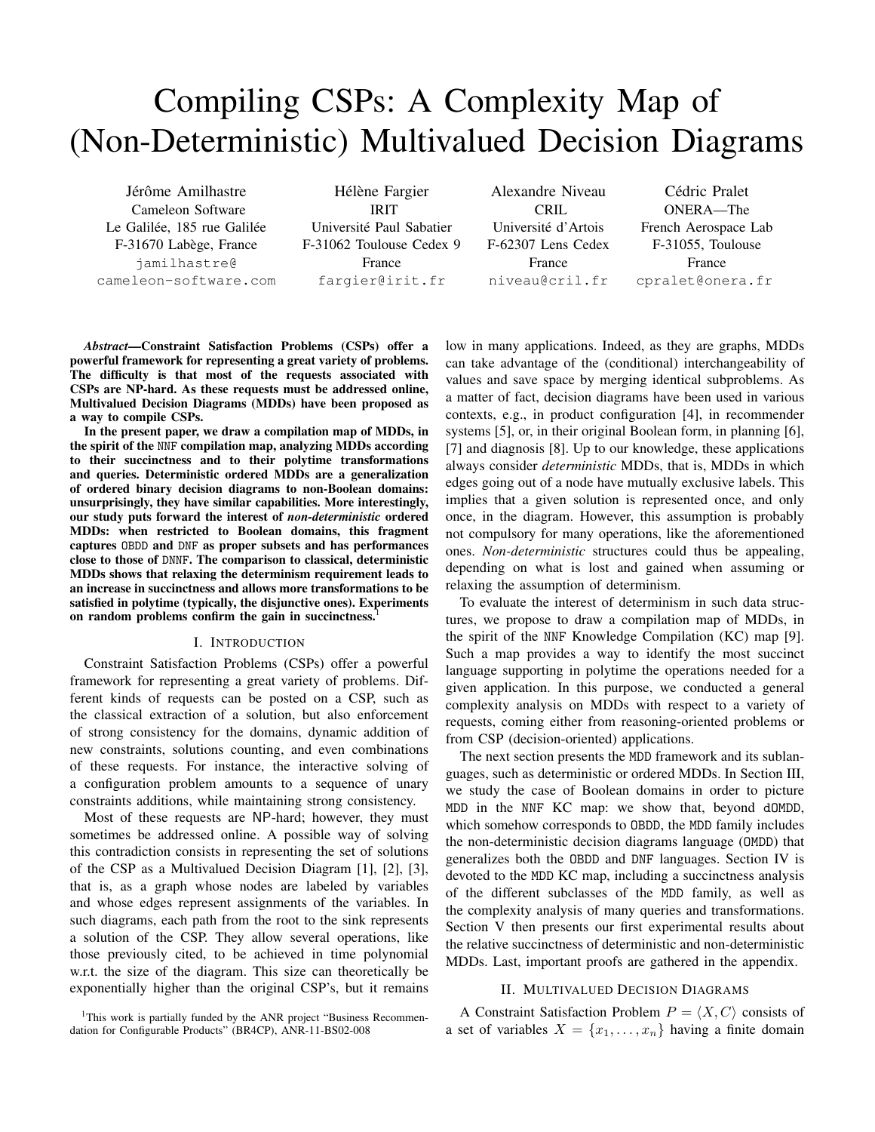# Compiling CSPs: A Complexity Map of (Non-Deterministic) Multivalued Decision Diagrams

Jérôme Amilhastre Cameleon Software Le Galilée, 185 rue Galilée F-31670 Labege, France ` jamilhastre@ cameleon-software.com

Hélène Fargier **IRIT** Universite Paul Sabatier ´ F-31062 Toulouse Cedex 9 France fargier@irit.fr

Alexandre Niveau CRIL. Universite d'Artois ´ F-62307 Lens Cedex France niveau@cril.fr

Cédric Pralet ONERA—The French Aerospace Lab F-31055, Toulouse France cpralet@onera.fr

*Abstract*—Constraint Satisfaction Problems (CSPs) offer a powerful framework for representing a great variety of problems. The difficulty is that most of the requests associated with CSPs are NP-hard. As these requests must be addressed online, Multivalued Decision Diagrams (MDDs) have been proposed as a way to compile CSPs.

In the present paper, we draw a compilation map of MDDs, in the spirit of the NNF compilation map, analyzing MDDs according to their succinctness and to their polytime transformations and queries. Deterministic ordered MDDs are a generalization of ordered binary decision diagrams to non-Boolean domains: unsurprisingly, they have similar capabilities. More interestingly, our study puts forward the interest of *non-deterministic* ordered MDDs: when restricted to Boolean domains, this fragment captures OBDD and DNF as proper subsets and has performances close to those of DNNF. The comparison to classical, deterministic MDDs shows that relaxing the determinism requirement leads to an increase in succinctness and allows more transformations to be satisfied in polytime (typically, the disjunctive ones). Experiments on random problems confirm the gain in succinctness.<sup>1</sup>

#### I. INTRODUCTION

Constraint Satisfaction Problems (CSPs) offer a powerful framework for representing a great variety of problems. Different kinds of requests can be posted on a CSP, such as the classical extraction of a solution, but also enforcement of strong consistency for the domains, dynamic addition of new constraints, solutions counting, and even combinations of these requests. For instance, the interactive solving of a configuration problem amounts to a sequence of unary constraints additions, while maintaining strong consistency.

Most of these requests are NP-hard; however, they must sometimes be addressed online. A possible way of solving this contradiction consists in representing the set of solutions of the CSP as a Multivalued Decision Diagram [1], [2], [3], that is, as a graph whose nodes are labeled by variables and whose edges represent assignments of the variables. In such diagrams, each path from the root to the sink represents a solution of the CSP. They allow several operations, like those previously cited, to be achieved in time polynomial w.r.t. the size of the diagram. This size can theoretically be exponentially higher than the original CSP's, but it remains

<sup>1</sup>This work is partially funded by the ANR project "Business Recommendation for Configurable Products" (BR4CP), ANR-11-BS02-008

low in many applications. Indeed, as they are graphs, MDDs can take advantage of the (conditional) interchangeability of values and save space by merging identical subproblems. As a matter of fact, decision diagrams have been used in various contexts, e.g., in product configuration [4], in recommender systems [5], or, in their original Boolean form, in planning [6], [7] and diagnosis [8]. Up to our knowledge, these applications always consider *deterministic* MDDs, that is, MDDs in which edges going out of a node have mutually exclusive labels. This implies that a given solution is represented once, and only once, in the diagram. However, this assumption is probably not compulsory for many operations, like the aforementioned ones. *Non-deterministic* structures could thus be appealing, depending on what is lost and gained when assuming or relaxing the assumption of determinism.

To evaluate the interest of determinism in such data structures, we propose to draw a compilation map of MDDs, in the spirit of the NNF Knowledge Compilation (KC) map [9]. Such a map provides a way to identify the most succinct language supporting in polytime the operations needed for a given application. In this purpose, we conducted a general complexity analysis on MDDs with respect to a variety of requests, coming either from reasoning-oriented problems or from CSP (decision-oriented) applications.

The next section presents the MDD framework and its sublanguages, such as deterministic or ordered MDDs. In Section III, we study the case of Boolean domains in order to picture MDD in the NNF KC map: we show that, beyond dOMDD, which somehow corresponds to OBDD, the MDD family includes the non-deterministic decision diagrams language (OMDD) that generalizes both the OBDD and DNF languages. Section IV is devoted to the MDD KC map, including a succinctness analysis of the different subclasses of the MDD family, as well as the complexity analysis of many queries and transformations. Section V then presents our first experimental results about the relative succinctness of deterministic and non-deterministic MDDs. Last, important proofs are gathered in the appendix.

## II. MULTIVALUED DECISION DIAGRAMS

A Constraint Satisfaction Problem  $P = \langle X, C \rangle$  consists of a set of variables  $X = \{x_1, \ldots, x_n\}$  having a finite domain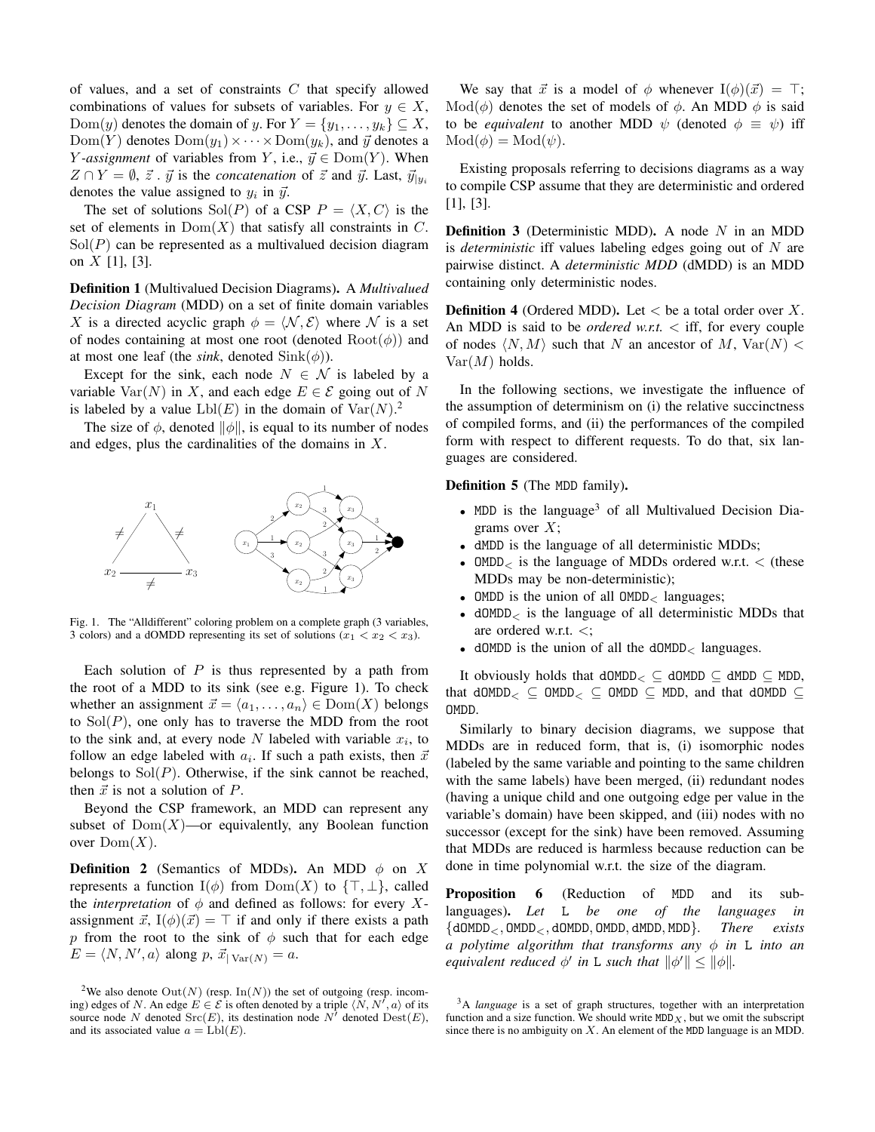of values, and a set of constraints  $C$  that specify allowed combinations of values for subsets of variables. For  $y \in X$ ,  $Dom(y)$  denotes the domain of y. For  $Y = \{y_1, \ldots, y_k\} \subseteq X$ ,  $Dom(Y)$  denotes  $Dom(y_1) \times \cdots \times Dom(y_k)$ , and  $\vec{y}$  denotes a *Y*-assignment of variables from *Y*, i.e.,  $\vec{y} \in \text{Dom}(Y)$ . When  $Z \cap Y = \emptyset$ ,  $\vec{z} \cdot \vec{y}$  is the *concatenation* of  $\vec{z}$  and  $\vec{y}$ . Last,  $\vec{y}_{|y_i}$ denotes the value assigned to  $y_i$  in  $\vec{y}$ .

The set of solutions  $Sol(P)$  of a CSP  $P = \langle X, C \rangle$  is the set of elements in  $Dom(X)$  that satisfy all constraints in  $C$ .  $Sol(P)$  can be represented as a multivalued decision diagram on  $X$  [1], [3].

Definition 1 (Multivalued Decision Diagrams). A *Multivalued Decision Diagram* (MDD) on a set of finite domain variables X is a directed acyclic graph  $\phi = \langle \mathcal{N}, \mathcal{E} \rangle$  where N is a set of nodes containing at most one root (denoted  $Root(\phi)$ ) and at most one leaf (the *sink*, denoted  $\text{Sink}(\phi)$ ).

Except for the sink, each node  $N \in \mathcal{N}$  is labeled by a variable  $Var(N)$  in X, and each edge  $E \in \mathcal{E}$  going out of N is labeled by a value  $Lbl(E)$  in the domain of  $Var(N)$ .<sup>2</sup>

The size of  $\phi$ , denoted  $\|\phi\|$ , is equal to its number of nodes and edges, plus the cardinalities of the domains in X.



Fig. 1. The "Alldifferent" coloring problem on a complete graph (3 variables, 3 colors) and a dOMDD representing its set of solutions  $(x_1 < x_2 < x_3)$ .

Each solution of  $P$  is thus represented by a path from the root of a MDD to its sink (see e.g. Figure 1). To check whether an assignment  $\vec{x} = \langle a_1, \ldots, a_n \rangle \in \text{Dom}(X)$  belongs to  $Sol(P)$ , one only has to traverse the MDD from the root to the sink and, at every node N labeled with variable  $x_i$ , to follow an edge labeled with  $a_i$ . If such a path exists, then  $\vec{x}$ belongs to  $Sol(P)$ . Otherwise, if the sink cannot be reached, then  $\vec{x}$  is not a solution of P.

Beyond the CSP framework, an MDD can represent any subset of  $Dom(X)$ —or equivalently, any Boolean function over  $Dom(X)$ .

**Definition 2** (Semantics of MDDs). An MDD  $\phi$  on X represents a function I( $\phi$ ) from Dom(X) to { $\top$ ,  $\bot$ }, called the *interpretation* of  $\phi$  and defined as follows: for every Xassignment  $\vec{x}$ , I( $\phi$ )( $\vec{x}$ ) =  $\top$  if and only if there exists a path p from the root to the sink of  $\phi$  such that for each edge  $E = \langle N, N', a \rangle$  along p,  $\vec{x}_{| \text{Var}(N)} = a$ .

We say that  $\vec{x}$  is a model of  $\phi$  whenever  $I(\phi)(\vec{x}) = \top$ ;  $Mod(\phi)$  denotes the set of models of  $\phi$ . An MDD  $\phi$  is said to be *equivalent* to another MDD  $\psi$  (denoted  $\phi \equiv \psi$ ) iff  $Mod(\phi) = Mod(\psi).$ 

Existing proposals referring to decisions diagrams as a way to compile CSP assume that they are deterministic and ordered [1], [3].

**Definition 3** (Deterministic MDD). A node  $N$  in an MDD is *deterministic* iff values labeling edges going out of N are pairwise distinct. A *deterministic MDD* (dMDD) is an MDD containing only deterministic nodes.

**Definition 4** (Ordered MDD). Let  $\lt$  be a total order over X. An MDD is said to be *ordered w.r.t.* < iff, for every couple of nodes  $\langle N, M \rangle$  such that N an ancestor of M, Var $(N)$  <  $Var(M)$  holds.

In the following sections, we investigate the influence of the assumption of determinism on (i) the relative succinctness of compiled forms, and (ii) the performances of the compiled form with respect to different requests. To do that, six languages are considered.

Definition 5 (The MDD family).

- MDD is the language<sup>3</sup> of all Multivalued Decision Diagrams over  $X$ ;
- dMDD is the language of all deterministic MDDs;
- OMDD<sub> $\lt$ </sub> is the language of MDDs ordered w.r.t.  $\lt$  (these MDDs may be non-deterministic);
- OMDD is the union of all  $OMDD<sub>></sub>$  languages;
- $dOMDD<sub>></sub>$  is the language of all deterministic MDDs that are ordered w.r.t. <;
- $d$ OMDD is the union of all the  $d$ OMDD $<$  languages.

It obviously holds that  $\text{dOMDD}_{\leq} \subseteq \text{dOMDD} \subseteq \text{MDD}$ , that dOMDD<sub><</sub>  $\subseteq$  OMDD<sub><</sub>  $\subseteq$  OMDD  $\subseteq$  MDD, and that dOMDD  $\subseteq$ OMDD.

Similarly to binary decision diagrams, we suppose that MDDs are in reduced form, that is, (i) isomorphic nodes (labeled by the same variable and pointing to the same children with the same labels) have been merged, (ii) redundant nodes (having a unique child and one outgoing edge per value in the variable's domain) have been skipped, and (iii) nodes with no successor (except for the sink) have been removed. Assuming that MDDs are reduced is harmless because reduction can be done in time polynomial w.r.t. the size of the diagram.

Proposition 6 (Reduction of MDD and its sublanguages). *Let* L *be one of the languages in* {dOMDD<, OMDD<, dOMDD, OMDD, dMDD, MDD}*. There exists a polytime algorithm that transforms any* φ *in* L *into an equivalent reduced*  $\phi'$  *in* L *such that*  $\|\phi'\| \le \|\phi\|$ *.* 

<sup>&</sup>lt;sup>2</sup>We also denote Out(N) (resp. In(N)) the set of outgoing (resp. incoming) edges of N. An edge  $E \in \mathcal{E}$  is often denoted by a triple  $\langle N, N', a \rangle$  of its source node N denoted  $Src(E)$ , its destination node N' denoted  $Dest(E)$ , and its associated value  $a = \text{Lbl}(E)$ .

<sup>3</sup>A *language* is a set of graph structures, together with an interpretation function and a size function. We should write MDD<sub>X</sub>, but we omit the subscript since there is no ambiguity on  $X$ . An element of the MDD language is an MDD.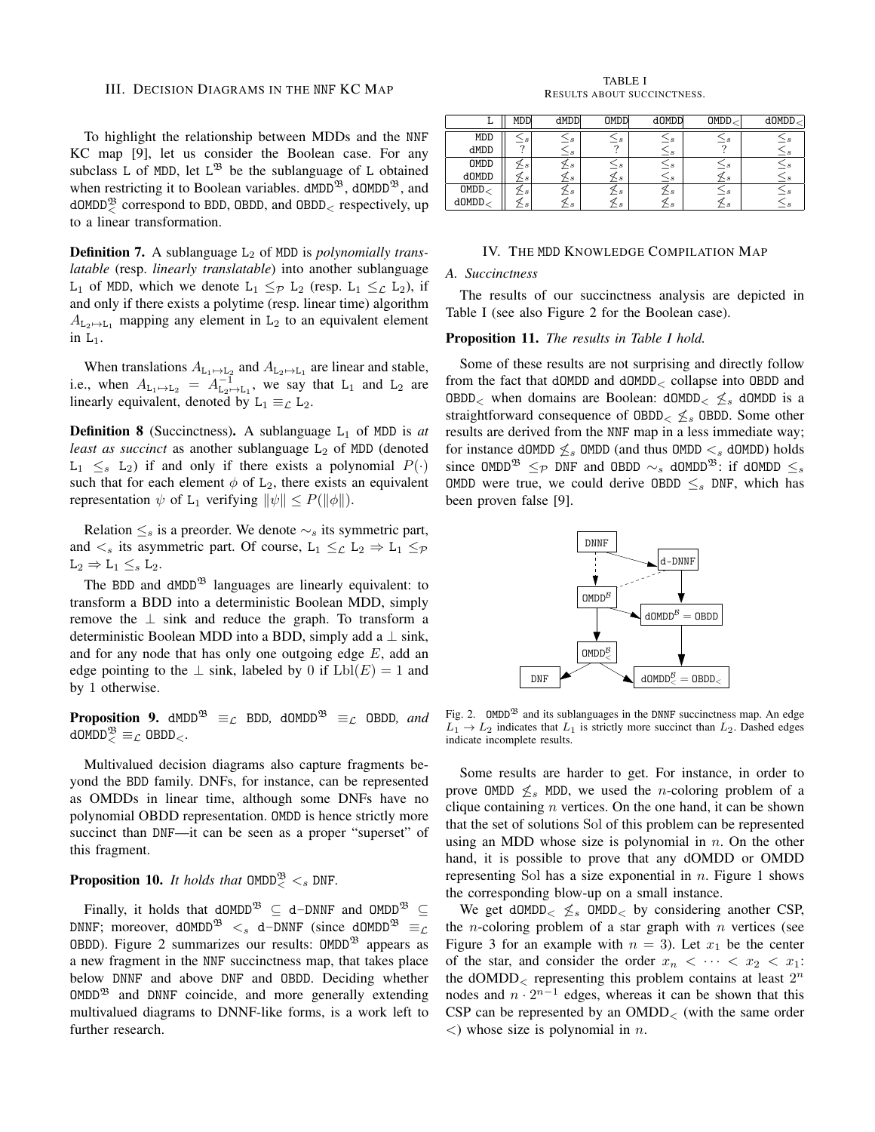#### III. DECISION DIAGRAMS IN THE NNF KC MAP

To highlight the relationship between MDDs and the NNF KC map [9], let us consider the Boolean case. For any subclass L of MDD, let  $L^{\mathfrak{B}}$  be the sublanguage of L obtained when restricting it to Boolean variables.  $dMDD^{B}$ ,  $dOMDD^{B}$ , and dOMDD $^{\mathfrak{B}}_{\leq}$  correspond to BDD, OBDD, and OBDD<sub> $<$ </sub> respectively, up to a linear transformation.

**Definition 7.** A sublanguage L<sub>2</sub> of MDD is *polynomially translatable* (resp. *linearly translatable*) into another sublanguage L<sub>1</sub> of MDD, which we denote L<sub>1</sub>  $\leq_{\mathcal{P}}$  L<sub>2</sub> (resp. L<sub>1</sub>  $\leq_{\mathcal{L}}$  L<sub>2</sub>), if and only if there exists a polytime (resp. linear time) algorithm  $A_{L_2\rightarrow L_1}$  mapping any element in L<sub>2</sub> to an equivalent element in  $L_1$ .

When translations  $A_{L_1 \mapsto L_2}$  and  $A_{L_2 \mapsto L_1}$  are linear and stable, i.e., when  $A_{L_1\mapsto L_2} = A_{L_2\mapsto L_1}^{-1}$ , we say that  $L_1$  and  $L_2$  are linearly equivalent, denoted by  $L_1 \equiv_C L_2$ .

Definition 8 (Succinctness). A sublanguage L<sub>1</sub> of MDD is *at least as succinct* as another sublanguage  $L_2$  of MDD (denoted  $L_1 \leq_s L_2$ ) if and only if there exists a polynomial  $P(\cdot)$ such that for each element  $\phi$  of L<sub>2</sub>, there exists an equivalent representation  $\psi$  of L<sub>1</sub> verifying  $\|\psi\| \leq P(\|\phi\|).$ 

Relation  $\leq_s$  is a preorder. We denote  $\sim_s$  its symmetric part, and  $\lt_s$  its asymmetric part. Of course,  $L_1 \leq_{\mathcal{L}} L_2 \Rightarrow L_1 \leq_{\mathcal{P}}$  $L_2 \Rightarrow L_1 \leq_s L_2.$ 

The BDD and  $dMDD^{23}$  languages are linearly equivalent: to transform a BDD into a deterministic Boolean MDD, simply remove the  $\perp$  sink and reduce the graph. To transform a deterministic Boolean MDD into a BDD, simply add a  $\perp$  sink, and for any node that has only one outgoing edge  $E$ , add an edge pointing to the  $\perp$  sink, labeled by 0 if  $Lbl(E) = 1$  and by 1 otherwise.

**Proposition 9.** dMDD<sup>B</sup>  $\equiv_{\mathcal{L}}$  BDD, dOMDD<sup>B</sup>  $\equiv_{\mathcal{L}}$  OBDD, and  $\text{dOMDD}^{\mathfrak{B}}_{\leqslant}\equiv_{\mathcal{L}}\text{OBDD}_{<\cdot}$ 

Multivalued decision diagrams also capture fragments beyond the BDD family. DNFs, for instance, can be represented as OMDDs in linear time, although some DNFs have no polynomial OBDD representation. OMDD is hence strictly more succinct than DNF—it can be seen as a proper "superset" of this fragment.

## **Proposition 10.** *It holds that*  $OMDD^{\mathfrak{B}}_{\leq s}$  DNF.

Finally, it holds that dOMDD<sup>23</sup>  $\subseteq$  d-DNNF and OMDD<sup>23</sup>  $\subseteq$ DNNF; moreover, dOMDD<sup>93</sup> <s d-DNNF (since dOMDD<sup>93</sup>  $\equiv_{\mathcal{L}}$ OBDD). Figure 2 summarizes our results:  $OMDD^{25}$  appears as a new fragment in the NNF succinctness map, that takes place below DNNF and above DNF and OBDD. Deciding whether  $OMDD^{23}$  and DNNF coincide, and more generally extending multivalued diagrams to DNNF-like forms, is a work left to further research.

TABLE I RESULTS ABOUT SUCCINCTNESS.

|        | MDD           | dMDD         | OMDD        | d0MDD         | OMDD.      | dOMDD |
|--------|---------------|--------------|-------------|---------------|------------|-------|
| MDD    | $\supseteq s$ | $\succeq$ s  | $\succeq$ s | $\geq$ s      | $\simeq$ s |       |
| dMDD   | $\Omega$      | $\mathbf{r}$ |             | $\geq$ s      |            |       |
| OMDD   | $\succeq$ s   | ≙s           | $\geq s$    | $\supseteq$ s | $\simeq$ s |       |
| dOMDD  | ≿s            | $\succeq$ s  | $\succeq$ s | $\geq$ s      | $\simeq$ s |       |
| $OMDD$ | ≿s            | $\succeq$ s  | ≿s          | Δs            | $\simeq$ s |       |
| dOMDD  | Δs            | $\succeq$ s  | $\simeq$ s  | ≿s            | $\simeq$ s |       |

#### IV. THE MDD KNOWLEDGE COMPILATION MAP

#### *A. Succinctness*

The results of our succinctness analysis are depicted in Table I (see also Figure 2 for the Boolean case).

## Proposition 11. *The results in Table I hold.*

Some of these results are not surprising and directly follow from the fact that dOMDD and dOMDD<sup>&</sup>lt; collapse into OBDD and OBDD<sub><</sub> when domains are Boolean: dOMDD<sub><  $\leq s$ </sub> dOMDD is a straightforward consequence of  $OBDD<sub>5</sub>$  OBDD. Some other results are derived from the NNF map in a less immediate way; for instance dOMDD  $\leq s$  OMDD (and thus OMDD  $\leq s$  dOMDD) holds since OMDD<sup>B</sup>  $\leq_{\mathcal{P}}$  DNF and OBDD  $\sim_s$  dOMDD<sup>B</sup>: if dOMDD  $\leq_s$ OMDD were true, we could derive OBDD  $\leq_s$  DNF, which has been proven false [9].



Fig. 2.  $OMDD^{28}$  and its sublanguages in the DNNF succinctness map. An edge  $L_1 \rightarrow L_2$  indicates that  $L_1$  is strictly more succinct than  $L_2$ . Dashed edges indicate incomplete results.

Some results are harder to get. For instance, in order to prove OMDD  $\leq$ <sub>s</sub> MDD, we used the *n*-coloring problem of a clique containing  $n$  vertices. On the one hand, it can be shown that the set of solutions Sol of this problem can be represented using an MDD whose size is polynomial in  $n$ . On the other hand, it is possible to prove that any dOMDD or OMDD representing Sol has a size exponential in  $n$ . Figure 1 shows the corresponding blow-up on a small instance.

We get dOMDD<sub><  $\leq$ s OMDD<sub><</sub> by considering another CSP,</sub> the *n*-coloring problem of a star graph with *n* vertices (see Figure 3 for an example with  $n = 3$ ). Let  $x_1$  be the center of the star, and consider the order  $x_n < \cdots < x_2 < x_1$ : the dOMDD<sub><</sub> representing this problem contains at least  $2^n$ nodes and  $n \cdot 2^{n-1}$  edges, whereas it can be shown that this CSP can be represented by an  $OMDD<sub>></sub>$  (with the same order  $\langle$ ) whose size is polynomial in *n*.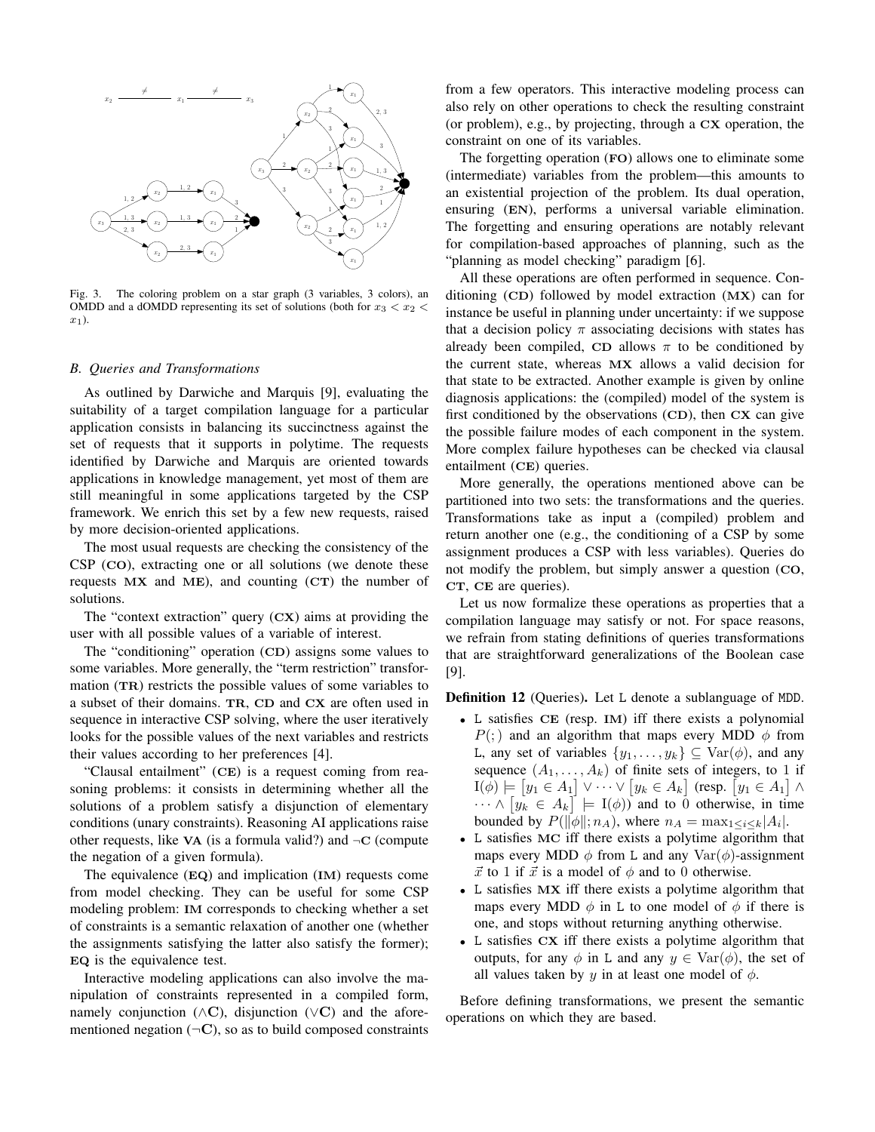

Fig. 3. The coloring problem on a star graph (3 variables, 3 colors), an OMDD and a dOMDD representing its set of solutions (both for  $x_3 < x_2 <$ x1).

#### *B. Queries and Transformations*

As outlined by Darwiche and Marquis [9], evaluating the suitability of a target compilation language for a particular application consists in balancing its succinctness against the set of requests that it supports in polytime. The requests identified by Darwiche and Marquis are oriented towards applications in knowledge management, yet most of them are still meaningful in some applications targeted by the CSP framework. We enrich this set by a few new requests, raised by more decision-oriented applications.

The most usual requests are checking the consistency of the CSP (CO), extracting one or all solutions (we denote these requests MX and ME), and counting (CT) the number of solutions.

The "context extraction" query  $(CX)$  aims at providing the user with all possible values of a variable of interest.

The "conditioning" operation (CD) assigns some values to some variables. More generally, the "term restriction" transformation (TR) restricts the possible values of some variables to a subset of their domains. TR, CD and CX are often used in sequence in interactive CSP solving, where the user iteratively looks for the possible values of the next variables and restricts their values according to her preferences [4].

"Clausal entailment" (CE) is a request coming from reasoning problems: it consists in determining whether all the solutions of a problem satisfy a disjunction of elementary conditions (unary constraints). Reasoning AI applications raise other requests, like VA (is a formula valid?) and  $\neg$ C (compute the negation of a given formula).

The equivalence (EQ) and implication (IM) requests come from model checking. They can be useful for some CSP modeling problem: IM corresponds to checking whether a set of constraints is a semantic relaxation of another one (whether the assignments satisfying the latter also satisfy the former); EQ is the equivalence test.

Interactive modeling applications can also involve the manipulation of constraints represented in a compiled form, namely conjunction ( $\wedge$ C), disjunction ( $\vee$ C) and the aforementioned negation  $(\neg C)$ , so as to build composed constraints

from a few operators. This interactive modeling process can also rely on other operations to check the resulting constraint (or problem), e.g., by projecting, through a CX operation, the constraint on one of its variables.

The forgetting operation (FO) allows one to eliminate some (intermediate) variables from the problem—this amounts to an existential projection of the problem. Its dual operation, ensuring (EN), performs a universal variable elimination. The forgetting and ensuring operations are notably relevant for compilation-based approaches of planning, such as the "planning as model checking" paradigm [6].

All these operations are often performed in sequence. Conditioning (CD) followed by model extraction (MX) can for instance be useful in planning under uncertainty: if we suppose that a decision policy  $\pi$  associating decisions with states has already been compiled, CD allows  $\pi$  to be conditioned by the current state, whereas MX allows a valid decision for that state to be extracted. Another example is given by online diagnosis applications: the (compiled) model of the system is first conditioned by the observations (CD), then CX can give the possible failure modes of each component in the system. More complex failure hypotheses can be checked via clausal entailment (CE) queries.

More generally, the operations mentioned above can be partitioned into two sets: the transformations and the queries. Transformations take as input a (compiled) problem and return another one (e.g., the conditioning of a CSP by some assignment produces a CSP with less variables). Queries do not modify the problem, but simply answer a question (CO, CT, CE are queries).

Let us now formalize these operations as properties that a compilation language may satisfy or not. For space reasons, we refrain from stating definitions of queries transformations that are straightforward generalizations of the Boolean case [9].

## Definition 12 (Queries). Let L denote a sublanguage of MDD.

- L satisfies CE (resp. IM) iff there exists a polynomial  $P($ ; ) and an algorithm that maps every MDD  $\phi$  from L, any set of variables  $\{y_1, \ldots, y_k\} \subseteq \text{Var}(\phi)$ , and any sequence  $(A_1, \ldots, A_k)$  of finite sets of integers, to 1 if  $I(\phi) \models [y_1 \in A_1] \vee \cdots \vee [y_k \in A_k]$  (resp.  $[y_1 \in A_1] \wedge$  $\cdots \wedge [y_k \in A_k] \models I(\phi)$  and to 0 otherwise, in time bounded by  $P(\|\phi\|; n_A)$ , where  $n_A = \max_{1 \leq i \leq k} |A_i|$ .
- L satisfies MC iff there exists a polytime algorithm that maps every MDD  $\phi$  from L and any Var( $\phi$ )-assignment  $\vec{x}$  to 1 if  $\vec{x}$  is a model of  $\phi$  and to 0 otherwise.
- L satisfies MX iff there exists a polytime algorithm that maps every MDD  $\phi$  in L to one model of  $\phi$  if there is one, and stops without returning anything otherwise.
- L satisfies CX iff there exists a polytime algorithm that outputs, for any  $\phi$  in L and any  $y \in \text{Var}(\phi)$ , the set of all values taken by y in at least one model of  $\phi$ .

Before defining transformations, we present the semantic operations on which they are based.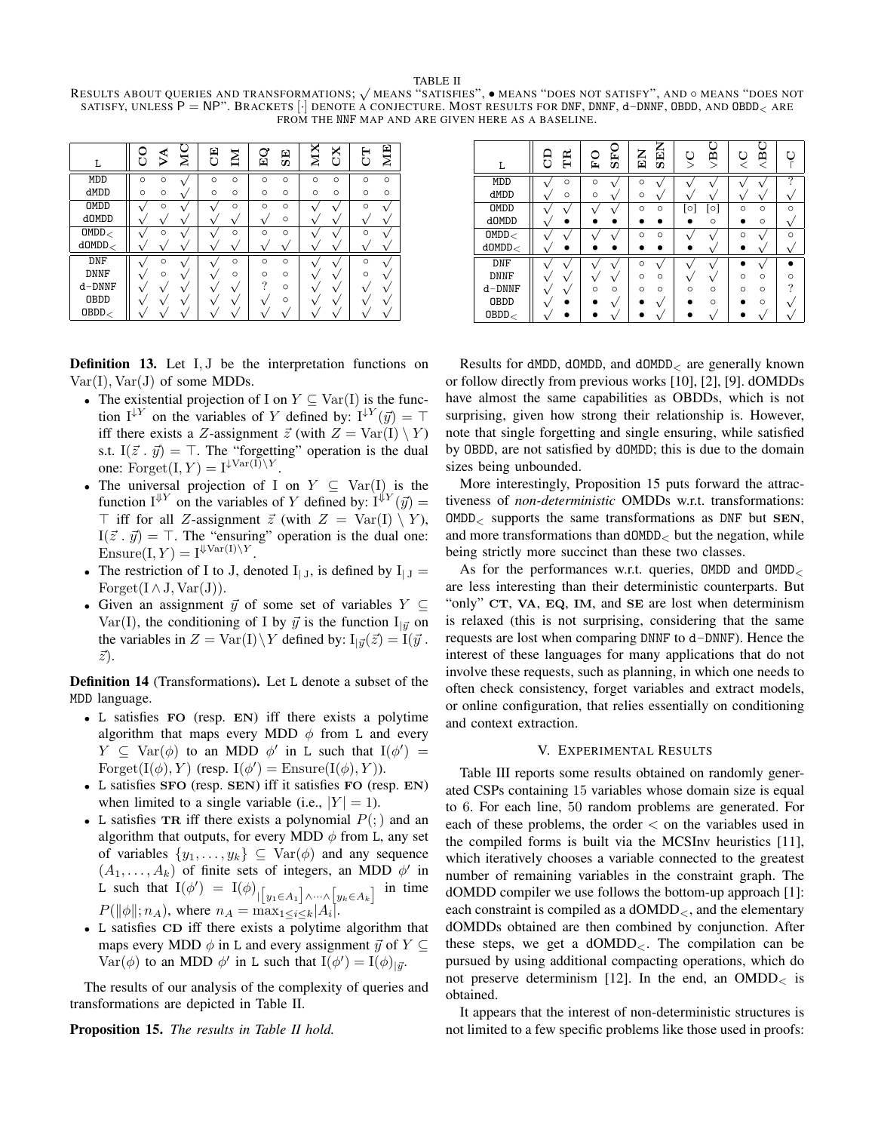#### TABLE II

TABLE II<br>Results about queries and transformations; √means "satisfies", • means "does not satisfy", and ∘ means "does not SATISFY, UNLESS P = NP". BRACKETS [·] DENOTE A CONJECTURE. MOST RESULTS FOR DNF, DNNF, d-DNNF, OBDD, AND OBDD<sub><</sub> ARE FROM THE NNF MAP AND ARE GIVEN HERE AS A BASELINE.

| L            | 8       | $\mathbf{z}$ | $\overline{\text{MC}}$ | 禺       | NI      | ♂<br>囟   | SE       | S        | Š       | 텄       | МE      |
|--------------|---------|--------------|------------------------|---------|---------|----------|----------|----------|---------|---------|---------|
| MDD          | $\circ$ | $\circ$      |                        | $\circ$ | $\circ$ | $\circ$  | $\circ$  | $\circ$  | $\circ$ | $\circ$ | $\circ$ |
| dMDD         | $\circ$ | $\circ$      |                        | $\circ$ | $\circ$ | $\circ$  | $\circ$  | $\Omega$ | $\circ$ | $\circ$ | $\circ$ |
| OMDD         |         | $\circ$      |                        |         | $\circ$ | $\Omega$ | $\circ$  |          |         | $\circ$ |         |
| d0MDD        |         |              |                        |         |         |          | $\circ$  |          |         |         |         |
| OMDD<        |         | $\Omega$     |                        |         | $\circ$ | $\circ$  | $\circ$  |          |         | $\circ$ |         |
| dOMDD <      |         |              |                        |         |         |          |          |          |         |         |         |
| <b>DNF</b>   |         | $\circ$      |                        |         | $\circ$ | $\Omega$ | $\circ$  |          |         | $\circ$ |         |
| <b>DNNF</b>  |         | $\Omega$     |                        |         | $\circ$ | $\Omega$ | $\Omega$ |          |         | $\circ$ |         |
| $d$ -DNN $F$ |         |              |                        |         |         | 2        | $\circ$  |          |         |         |         |
| <b>OBDD</b>  |         |              |                        |         |         |          | $\circ$  |          |         |         |         |
| $0$ BDD $<$  |         |              |                        |         |         |          |          |          |         |         |         |

Definition 13. Let I, J be the interpretation functions on  $Var(I)$ ,  $Var(J)$  of some MDDs.

- The existential projection of I on  $Y \subseteq \text{Var}(I)$  is the function  $I^{\downarrow Y}$  on the variables of Y defined by:  $I^{\downarrow Y}(\vec{y}) = \top$ iff there exists a Z-assignment  $\vec{z}$  (with  $Z = \text{Var}(I) \setminus Y$ ) s.t.  $I(\vec{z} \cdot \vec{y}) = \top$ . The "forgetting" operation is the dual one:  $\text{Forget}(I, Y) = I^{\downarrow \text{Var}(I) \setminus Y}$ .
- The universal projection of I on  $Y \subseteq \text{Var}(I)$  is the function  $I^{\Downarrow Y}$  on the variables of Y defined by:  $I^{\Downarrow Y}(\vec{y}) =$  $\top$  iff for all Z-assignment  $\vec{z}$  (with  $Z = \text{Var}(I) \setminus Y$ ),  $I(\vec{z} \cdot \vec{y}) = \top$ . The "ensuring" operation is the dual one: Ensure $(I, Y) = I^{\Downarrow \text{Var}(I) \setminus Y}.$
- The restriction of I to J, denoted  $I_{\vert J}$ , is defined by  $I_{\vert J}$  = Forget $(I \wedge J, \text{Var}(J))$ .
- Given an assignment  $\vec{y}$  of some set of variables  $Y \subseteq$ Var(I), the conditioning of I by  $\vec{y}$  is the function  $I_{|\vec{y}|}$  on the variables in  $Z = \text{Var}(I) \setminus Y$  defined by:  $I_{|\vec{y}}(\vec{z}) = I(\vec{y}$ .  $\vec{z}$ ).

Definition 14 (Transformations). Let L denote a subset of the MDD language.

- L satisfies FO (resp. EN) iff there exists a polytime algorithm that maps every MDD  $\phi$  from L and every  $Y \subseteq \text{Var}(\phi)$  to an MDD  $\phi'$  in L such that  $I(\phi') =$ Forget(I( $\phi$ ), Y) (resp. I( $\phi'$ ) = Ensure(I( $\phi$ ), Y)).
- L satisfies SFO (resp. SEN) iff it satisfies FO (resp. EN) when limited to a single variable (i.e.,  $|Y| = 1$ ).
- L satisfies TR iff there exists a polynomial  $P($ ;  $)$  and an algorithm that outputs, for every MDD  $\phi$  from L, any set of variables  $\{y_1, \ldots, y_k\} \subseteq \text{Var}(\phi)$  and any sequence  $(A_1, \ldots, A_k)$  of finite sets of integers, an MDD  $\phi'$  in L such that  $I(\phi') = I(\phi)_{|\begin{bmatrix} y_1 \in A_1 \end{bmatrix} \wedge \cdots \wedge \begin{bmatrix} y_k \in A_k \end{bmatrix}}$  in time  $P(\|\phi\|; n_A)$ , where  $n_A = \max_{1 \leq i \leq k} |A_i|$ .
- L satisfies CD iff there exists a polytime algorithm that maps every MDD  $\phi$  in L and every assignment  $\vec{y}$  of  $Y \subset$ Var( $\phi$ ) to an MDD  $\phi'$  in L such that  $I(\phi') = I(\phi)_{|\vec{y}}$ .

The results of our analysis of the complexity of queries and transformations are depicted in Table II.

Proposition 15. *The results in Table II hold.*

| L            | $\mathbf{g}$<br>ĊĴ<br>н | 0<br>国<br>Ŀ<br>w     | Z<br>Z<br>田<br>囙<br>w | ğ<br>↻<br>Š          | $\mathbf{u}$<br>↻<br>Ż.<br>$\,<\,$ |          |
|--------------|-------------------------|----------------------|-----------------------|----------------------|------------------------------------|----------|
| MDD          | $\circ$                 | $\Omega$             | $\Omega$              |                      |                                    | ?        |
| dMDD         | $\circ$                 | $\circ$              | $\circ$               |                      |                                    |          |
| OMDD         |                         |                      | $\Omega$<br>$\circ$   | $  \circ  $<br>l o l | $\Omega$<br>$\circ$                | $\Omega$ |
| d0MDD        |                         |                      |                       | $\circ$              | $\circ$                            |          |
| OMDD<        |                         |                      | $\Omega$<br>$\circ$   |                      | $\Omega$                           | $\circ$  |
| dOMDD <      |                         |                      |                       |                      |                                    |          |
| <b>DNF</b>   |                         |                      | $\Omega$              |                      |                                    |          |
| <b>DNNF</b>  |                         |                      | $\Omega$<br>$\circ$   |                      | $\Omega$<br>$\Omega$               | $\Omega$ |
| $d$ -DNN $F$ |                         | $\Omega$<br>$\Omega$ | $\Omega$<br>$\Omega$  | $\circ$<br>$\circ$   | $\Omega$<br>$\Omega$               | 2        |
| <b>OBDD</b>  |                         |                      |                       | $\circ$              | $\Omega$                           |          |
| $0$ BDD $<$  |                         |                      |                       |                      |                                    |          |

Results for dMDD, dOMDD, and dOMDD<sub> $\lt$ </sub> are generally known or follow directly from previous works [10], [2], [9]. dOMDDs have almost the same capabilities as OBDDs, which is not surprising, given how strong their relationship is. However, note that single forgetting and single ensuring, while satisfied by OBDD, are not satisfied by dOMDD; this is due to the domain sizes being unbounded.

More interestingly, Proposition 15 puts forward the attractiveness of *non-deterministic* OMDDs w.r.t. transformations: OMDD<sup>&</sup>lt; supports the same transformations as DNF but SEN, and more transformations than  $dOMDD<sub>></sub>$  but the negation, while being strictly more succinct than these two classes.

As for the performances w.r.t. queries, OMDD and OMDD<sup>&</sup>lt; are less interesting than their deterministic counterparts. But "only" CT, VA, EQ, IM, and SE are lost when determinism is relaxed (this is not surprising, considering that the same requests are lost when comparing DNNF to d-DNNF). Hence the interest of these languages for many applications that do not involve these requests, such as planning, in which one needs to often check consistency, forget variables and extract models, or online configuration, that relies essentially on conditioning and context extraction.

## V. EXPERIMENTAL RESULTS

Table III reports some results obtained on randomly generated CSPs containing 15 variables whose domain size is equal to 6. For each line, 50 random problems are generated. For each of these problems, the order < on the variables used in the compiled forms is built via the MCSInv heuristics [11], which iteratively chooses a variable connected to the greatest number of remaining variables in the constraint graph. The dOMDD compiler we use follows the bottom-up approach [1]: each constraint is compiled as a  $\text{dOMDD}_{\leq}$ , and the elementary dOMDDs obtained are then combined by conjunction. After these steps, we get a  $dOMDD<sub>lt</sub>$ . The compilation can be pursued by using additional compacting operations, which do not preserve determinism [12]. In the end, an  $OMDD<sub>></sub>$  is obtained.

It appears that the interest of non-deterministic structures is not limited to a few specific problems like those used in proofs: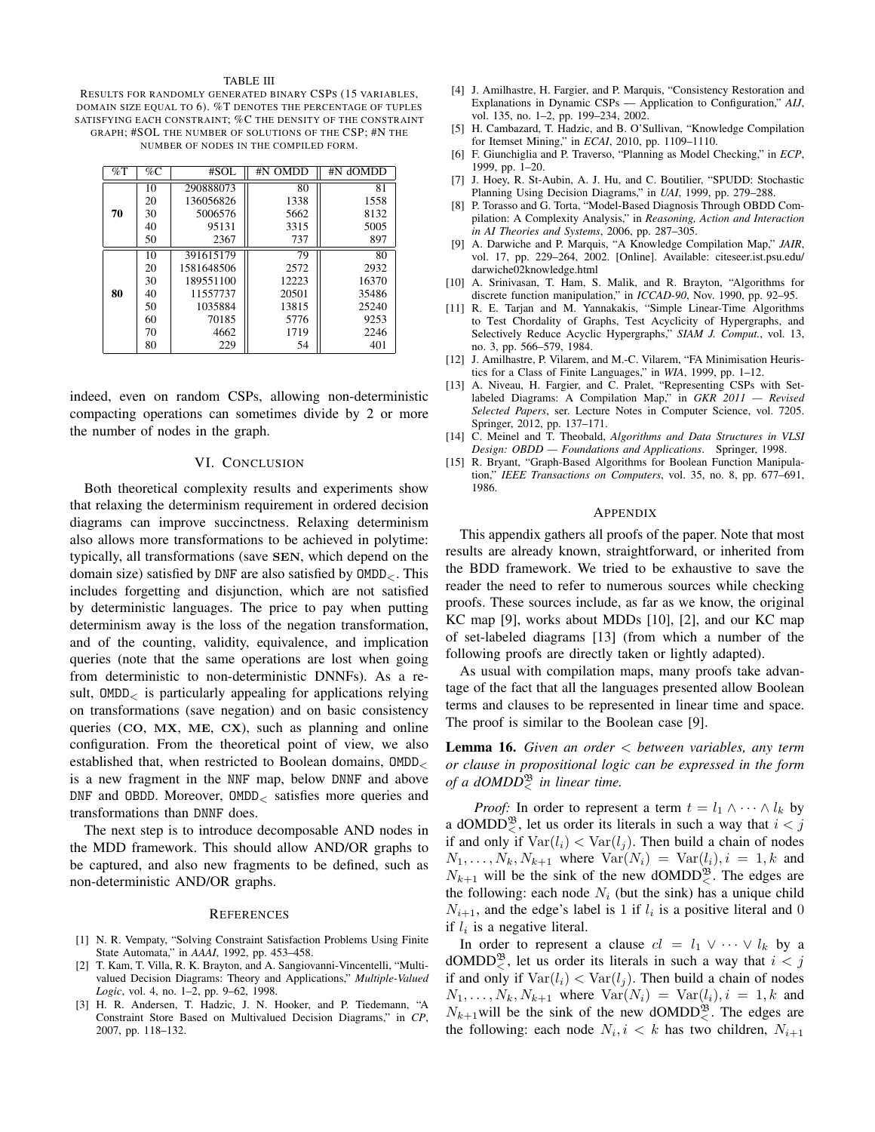#### TABLE III

RESULTS FOR RANDOMLY GENERATED BINARY CSPS (15 VARIABLES, DOMAIN SIZE EQUAL TO 6). %T DENOTES THE PERCENTAGE OF TUPLES SATISFYING EACH CONSTRAINT; %C THE DENSITY OF THE CONSTRAINT GRAPH; #SOL THE NUMBER OF SOLUTIONS OF THE CSP; #N THE NUMBER OF NODES IN THE COMPILED FORM.

| $\%T$ | $\%C$ | #SOL       | #N OMDD | #N dOMDD |
|-------|-------|------------|---------|----------|
|       | 10    | 290888073  | 80      | 81       |
|       | 20    | 136056826  | 1338    | 1558     |
| 70    | 30    | 5006576    | 5662    | 8132     |
|       | 40    | 95131      | 3315    | 5005     |
|       | 50    | 2367       | 737     | 897      |
|       | 10    | 391615179  | 79      | 80       |
|       | 20    | 1581648506 | 2572    | 2932     |
|       | 30    | 189551100  | 12223   | 16370    |
| 80    | 40    | 11557737   | 20501   | 35486    |
|       | 50    | 1035884    | 13815   | 25240    |
|       | 60    | 70185      | 5776    | 9253     |
|       | 70    | 4662       | 1719    | 2246     |
|       | 80    | 229        | 54      | 401      |

indeed, even on random CSPs, allowing non-deterministic compacting operations can sometimes divide by 2 or more the number of nodes in the graph.

#### VI. CONCLUSION

Both theoretical complexity results and experiments show that relaxing the determinism requirement in ordered decision diagrams can improve succinctness. Relaxing determinism also allows more transformations to be achieved in polytime: typically, all transformations (save SEN, which depend on the domain size) satisfied by DNF are also satisfied by OMDD<. This includes forgetting and disjunction, which are not satisfied by deterministic languages. The price to pay when putting determinism away is the loss of the negation transformation, and of the counting, validity, equivalence, and implication queries (note that the same operations are lost when going from deterministic to non-deterministic DNNFs). As a result,  $OMDD<sub>></sub>$  is particularly appealing for applications relying on transformations (save negation) and on basic consistency queries (CO, MX, ME, CX), such as planning and online configuration. From the theoretical point of view, we also established that, when restricted to Boolean domains, OMDD<sup>&</sup>lt; is a new fragment in the NNF map, below DNNF and above DNF and OBDD. Moreover, OMDD<sup>&</sup>lt; satisfies more queries and transformations than DNNF does.

The next step is to introduce decomposable AND nodes in the MDD framework. This should allow AND/OR graphs to be captured, and also new fragments to be defined, such as non-deterministic AND/OR graphs.

#### **REFERENCES**

- [1] N. R. Vempaty, "Solving Constraint Satisfaction Problems Using Finite State Automata," in *AAAI*, 1992, pp. 453–458.
- [2] T. Kam, T. Villa, R. K. Brayton, and A. Sangiovanni-Vincentelli, "Multivalued Decision Diagrams: Theory and Applications," *Multiple-Valued Logic*, vol. 4, no. 1–2, pp. 9–62, 1998.
- [3] H. R. Andersen, T. Hadzic, J. N. Hooker, and P. Tiedemann, "A Constraint Store Based on Multivalued Decision Diagrams," in *CP*, 2007, pp. 118–132.
- [4] J. Amilhastre, H. Fargier, and P. Marquis, "Consistency Restoration and Explanations in Dynamic CSPs — Application to Configuration," *AIJ*, vol. 135, no. 1–2, pp. 199–234, 2002.
- [5] H. Cambazard, T. Hadzic, and B. O'Sullivan, "Knowledge Compilation for Itemset Mining," in *ECAI*, 2010, pp. 1109–1110.
- [6] F. Giunchiglia and P. Traverso, "Planning as Model Checking," in *ECP*, 1999, pp. 1–20.
- [7] J. Hoey, R. St-Aubin, A. J. Hu, and C. Boutilier, "SPUDD: Stochastic Planning Using Decision Diagrams," in *UAI*, 1999, pp. 279–288.
- [8] P. Torasso and G. Torta, "Model-Based Diagnosis Through OBDD Compilation: A Complexity Analysis," in *Reasoning, Action and Interaction in AI Theories and Systems*, 2006, pp. 287–305.
- [9] A. Darwiche and P. Marquis, "A Knowledge Compilation Map," *JAIR*, vol. 17, pp. 229–264, 2002. [Online]. Available: citeseer.ist.psu.edu/ darwiche02knowledge.html
- [10] A. Srinivasan, T. Ham, S. Malik, and R. Brayton, "Algorithms for discrete function manipulation," in *ICCAD-90*, Nov. 1990, pp. 92–95.
- [11] R. E. Tarjan and M. Yannakakis, "Simple Linear-Time Algorithms to Test Chordality of Graphs, Test Acyclicity of Hypergraphs, and Selectively Reduce Acyclic Hypergraphs," *SIAM J. Comput.*, vol. 13, no. 3, pp. 566–579, 1984.
- [12] J. Amilhastre, P. Vilarem, and M.-C. Vilarem, "FA Minimisation Heuristics for a Class of Finite Languages," in *WIA*, 1999, pp. 1–12.
- [13] A. Niveau, H. Fargier, and C. Pralet, "Representing CSPs with Setlabeled Diagrams: A Compilation Map," in *GKR 2011 — Revised Selected Papers*, ser. Lecture Notes in Computer Science, vol. 7205. Springer, 2012, pp. 137–171.
- [14] C. Meinel and T. Theobald, *Algorithms and Data Structures in VLSI Design: OBDD — Foundations and Applications*. Springer, 1998.
- [15] R. Bryant, "Graph-Based Algorithms for Boolean Function Manipulation," *IEEE Transactions on Computers*, vol. 35, no. 8, pp. 677–691, 1986.

#### APPENDIX

This appendix gathers all proofs of the paper. Note that most results are already known, straightforward, or inherited from the BDD framework. We tried to be exhaustive to save the reader the need to refer to numerous sources while checking proofs. These sources include, as far as we know, the original KC map [9], works about MDDs [10], [2], and our KC map of set-labeled diagrams [13] (from which a number of the following proofs are directly taken or lightly adapted).

As usual with compilation maps, many proofs take advantage of the fact that all the languages presented allow Boolean terms and clauses to be represented in linear time and space. The proof is similar to the Boolean case [9].

Lemma 16. *Given an order* < *between variables, any term or clause in propositional logic can be expressed in the form of a dOMDD* $\frac{3}{5}$  *in linear time.* 

*Proof:* In order to represent a term  $t = l_1 \wedge \cdots \wedge l_k$  by a dOMDD<sup> $\mathfrak{B}$ </sup>, let us order its literals in such a way that  $i < j$ if and only if  $Var(l_i) < Var(l_i)$ . Then build a chain of nodes  $N_1, \ldots, N_k, N_{k+1}$  where  $Var(N_i) = Var(l_i), i = 1, k$  and  $N_{k+1}$  will be the sink of the new dOMDD<sup> $\mathfrak{B}_{\leq}$ </sup>. The edges are the following: each node  $N_i$  (but the sink) has a unique child  $N_{i+1}$ , and the edge's label is 1 if  $l_i$  is a positive literal and 0 if  $l_i$  is a negative literal.

In order to represent a clause  $cl = l_1 \vee \cdots \vee l_k$  by a dOMDD<sup> $\mathfrak{B}$ </sup>, let us order its literals in such a way that  $i < j$ if and only if  $\text{Var}(l_i) < \text{Var}(l_i)$ . Then build a chain of nodes  $N_1, \ldots, N_k, N_{k+1}$  where  $\text{Var}(N_i) = \text{Var}(l_i), i = 1, k$  and  $N_{k+1}$  will be the sink of the new dOMDD<sup> $\mathfrak{B}_{\leq}$ </sup>. The edges are the following: each node  $N_i, i < k$  has two children,  $N_{i+1}$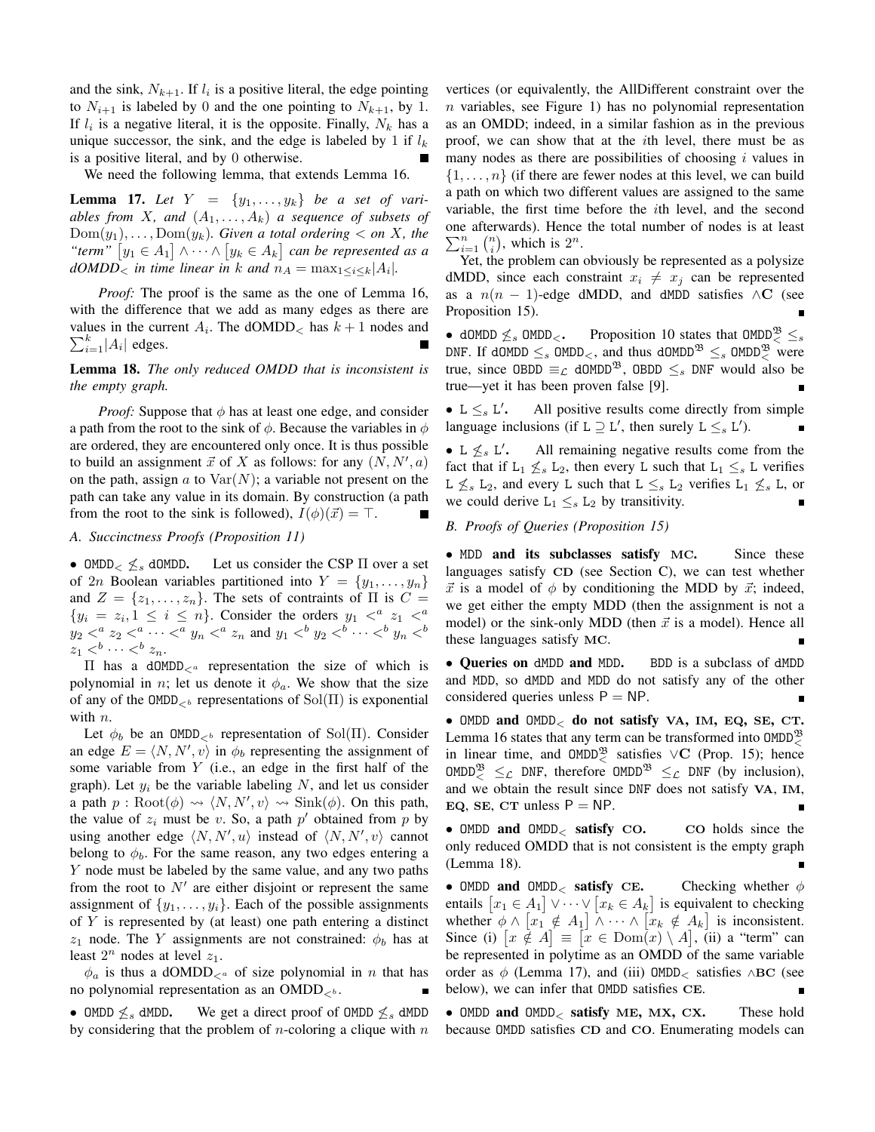and the sink,  $N_{k+1}$ . If  $l_i$  is a positive literal, the edge pointing to  $N_{i+1}$  is labeled by 0 and the one pointing to  $N_{k+1}$ , by 1. If  $l_i$  is a negative literal, it is the opposite. Finally,  $N_k$  has a unique successor, the sink, and the edge is labeled by 1 if  $l_k$ is a positive literal, and by 0 otherwise.

We need the following lemma, that extends Lemma 16.

**Lemma 17.** Let  $Y = \{y_1, \ldots, y_k\}$  be a set of vari*ables from* X, and  $(A_1, \ldots, A_k)$  a sequence of subsets of  $Dom(y_1), \ldots, Dom(y_k)$ *. Given a total ordering*  $\lt$  *on* X*, the "term"*  $[y_1 \in A_1] \wedge \cdots \wedge [y_k \in A_k]$  can be represented as a  $dOMDD<sub>lt</sub>$  *in time linear in*  $k$  *and*  $n_A = \max_{1 \leq i \leq k} |A_i|$ *.* 

*Proof:* The proof is the same as the one of Lemma 16, with the difference that we add as many edges as there are values in the current  $A_i$ . The dOMDD<sub><</sub> has  $k+1$  nodes and  $\sum_{i=1}^{k} |A_i|$  edges.

Lemma 18. *The only reduced OMDD that is inconsistent is the empty graph.*

*Proof:* Suppose that  $\phi$  has at least one edge, and consider a path from the root to the sink of  $\phi$ . Because the variables in  $\phi$ are ordered, they are encountered only once. It is thus possible to build an assignment  $\vec{x}$  of X as follows: for any  $(N, N', a)$ on the path, assign  $a$  to  $\text{Var}(N)$ ; a variable not present on the path can take any value in its domain. By construction (a path from the root to the sink is followed),  $I(\phi)(\vec{x}) = \top$ .

## *A. Succinctness Proofs (Proposition 11)*

• OMDD<sub><</sub>  $\leq$ <sub>s</sub> dOMDD. Let us consider the CSP  $\Pi$  over a set of 2n Boolean variables partitioned into  $Y = \{y_1, \ldots, y_n\}$ and  $Z = \{z_1, \ldots, z_n\}$ . The sets of contraints of  $\Pi$  is  $C =$  $\{y_i = z_i, 1 \leq i \leq n\}$ . Consider the orders  $y_1 <^a z_1 <^a z_2$  $y_2 <^a z_2 <^a \cdots <^a y_n <^a z_n$  and  $y_1 <^b y_2 <^b \cdots <^b y_n <^b$  $z_1 \leq^b \cdots \leq^b z_n.$ 

 $\Pi$  has a dOMDD<sub> $\leq$ <sup>*a*</sup> representation the size of which is</sub> polynomial in *n*; let us denote it  $\phi_a$ . We show that the size of any of the  $OMDD<sub><</sub>$  representations of  $Sol(\Pi)$  is exponential with *n*.

Let  $\phi_b$  be an OMDD<sub><br/> $\epsilon_b$  representation of Sol(Π). Consider</sub> an edge  $E = \langle N, N', v \rangle$  in  $\phi_b$  representing the assignment of some variable from  $Y$  (i.e., an edge in the first half of the graph). Let  $y_i$  be the variable labeling N, and let us consider a path  $p : \text{Root}(\phi) \rightsquigarrow \langle N, N', v \rangle \rightsquigarrow \text{Sink}(\phi)$ . On this path, the value of  $z_i$  must be v. So, a path  $p'$  obtained from p by using another edge  $\langle N, N', u \rangle$  instead of  $\langle N, N', v \rangle$  cannot belong to  $\phi_b$ . For the same reason, any two edges entering a Y node must be labeled by the same value, and any two paths from the root to  $N'$  are either disjoint or represent the same assignment of  $\{y_1, \ldots, y_i\}$ . Each of the possible assignments of Y is represented by (at least) one path entering a distinct  $z_1$  node. The Y assignments are not constrained:  $\phi_b$  has at least  $2^n$  nodes at level  $z_1$ .

 $\phi_a$  is thus a dOMDD<sub> $\leq$ </sub> of size polynomial in n that has no polynomial representation as an  $OMDD_{< b}$ .

• OMDD  $\leq_s$  dMDD. We get a direct proof of OMDD  $\leq_s$  dMDD by considering that the problem of *n*-coloring a clique with  $n$  vertices (or equivalently, the AllDifferent constraint over the  $n$  variables, see Figure 1) has no polynomial representation as an OMDD; indeed, in a similar fashion as in the previous proof, we can show that at the ith level, there must be as many nodes as there are possibilities of choosing  $i$  values in  $\{1, \ldots, n\}$  (if there are fewer nodes at this level, we can build a path on which two different values are assigned to the same variable, the first time before the ith level, and the second one afterwards). Hence the total number of nodes is at least  $\sum_{i=1}^{n} \binom{n}{i}$ , which is  $2^n$ .

Yet, the problem can obviously be represented as a polysize dMDD, since each constraint  $x_i \neq x_j$  can be represented as a  $n(n - 1)$ -edge dMDD, and dMDD satisfies ∧C (see Proposition 15).

• dOMDD  $\leq s$  OMDD<sub><</sub>. Proposition 10 states that OMDD<sup>33</sup>  $\leq s$ DNF. If dOMDD  $\leq_s$  OMDD $\ltless$ , and thus dOMDD<sup>93</sup>  $\leq_s$  OMDD<sup>93</sup> were true, since OBDD  $\equiv_{\mathcal{L}}$  dOMDD<sup>93</sup>, OBDD  $\leq_{s}$  DNF would also be true—yet it has been proven false [9].

• L  $\leq_s$  L' . All positive results come directly from simple language inclusions (if  $L \supseteq L'$ , then surely  $L \leq_s L'$ ).

• L  $\nleq_s$  L' . All remaining negative results come from the fact that if  $L_1 \nleq_s L_2$ , then every L such that  $L_1 \nleq_s L$  verifies L  $\leq s$  L<sub>2</sub>, and every L such that L  $\leq_s$  L<sub>2</sub> verifies L<sub>1</sub>  $\leq_s$  L, or we could derive  $L_1 \leq_s L_2$  by transitivity.

## *B. Proofs of Queries (Proposition 15)*

• MDD and its subclasses satisfy MC. Since these languages satisfy CD (see Section C), we can test whether  $\vec{x}$  is a model of  $\phi$  by conditioning the MDD by  $\vec{x}$ ; indeed, we get either the empty MDD (then the assignment is not a model) or the sink-only MDD (then  $\vec{x}$  is a model). Hence all these languages satisfy MC.

• Queries on dMDD and MDD. BDD is a subclass of dMDD and MDD, so dMDD and MDD do not satisfy any of the other considered queries unless  $P = NP$ .

• OMDD and OMDD<sup>&</sup>lt; do not satisfy VA, IM, EQ, SE, CT. Lemma 16 states that any term can be transformed into  $\text{OMDD}^{\mathfrak{B}}_{\leq}$ in linear time, and  $OMDD^{\mathfrak{B}}_{\leq}$  satisfies  $\vee$ C (Prop. 15); hence OMDD<sup>93</sup>  $\leq$  DNF, therefore OMDD<sup>93</sup>  $\leq$  DNF (by inclusion), and we obtain the result since DNF does not satisfy VA, IM, EQ, SE, CT unless  $P = NP$ .

• OMDD and OMDD<sub><</sub> satisfy CO. CO holds since the only reduced OMDD that is not consistent is the empty graph (Lemma 18).

• OMDD and OMDD<sub><</sub> satisfy CE. Checking whether  $\phi$ entails  $[x_1 \in A_1] \vee \cdots \vee [x_k \in A_k]$  is equivalent to checking whether  $\phi \wedge [x_1 \notin A_1] \wedge \cdots \wedge [x_k \notin A_k]$  is inconsistent. Since (i)  $[x \notin A] \equiv [x \in \text{Dom}(x) \setminus A]$ , (ii) a "term" can be represented in polytime as an OMDD of the same variable order as  $\phi$  (Lemma 17), and (iii) OMDD<sub><</sub> satisfies ∧BC (see below), we can infer that OMDD satisfies CE.

• OMDD and OMDD<sub><</sub> satisfy ME, MX, CX. These hold because OMDD satisfies CD and CO. Enumerating models can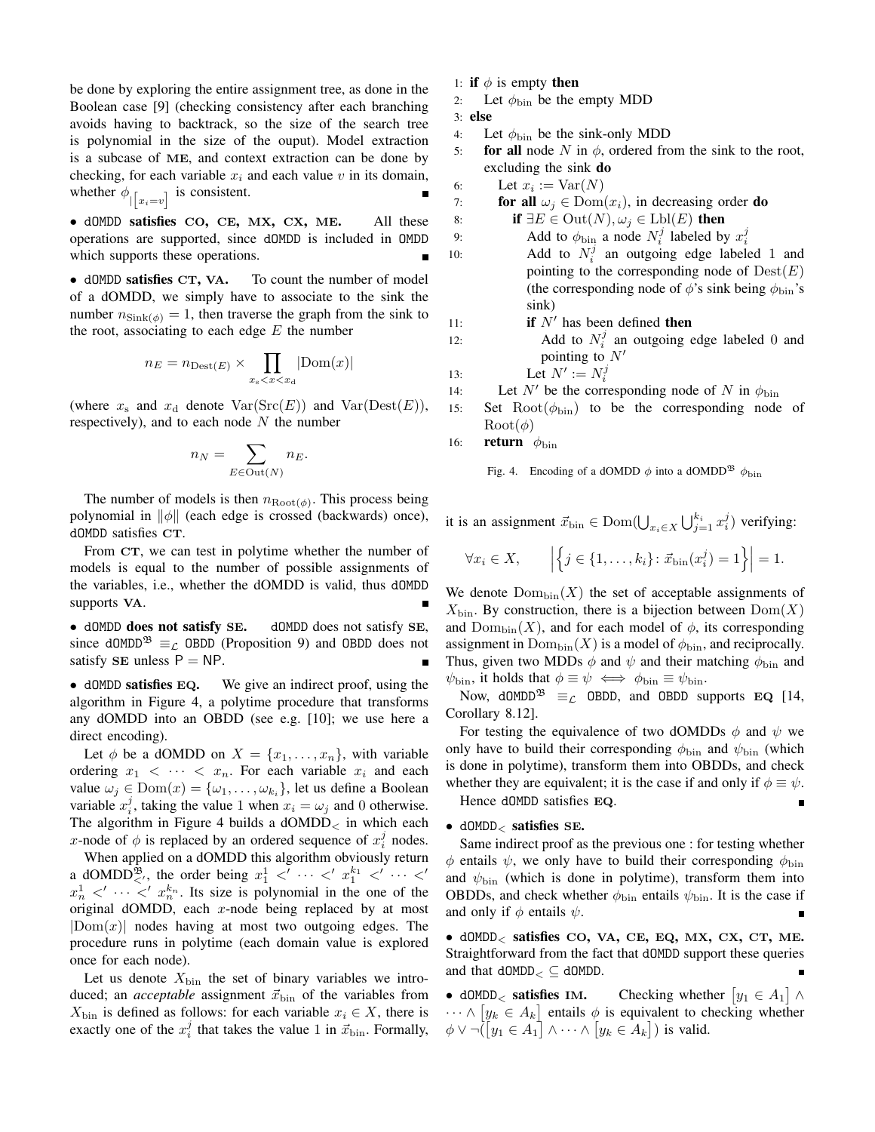be done by exploring the entire assignment tree, as done in the Boolean case [9] (checking consistency after each branching avoids having to backtrack, so the size of the search tree is polynomial in the size of the ouput). Model extraction is a subcase of ME, and context extraction can be done by checking, for each variable  $x_i$  and each value v in its domain, whether  $\phi_{|\big[x_i=v\big]}$  is consistent.

• dOMDD satisfies CO, CE, MX, CX, ME. All these operations are supported, since dOMDD is included in OMDD which supports these operations.

• dOMDD satisfies CT, VA. To count the number of model of a dOMDD, we simply have to associate to the sink the number  $n_{\text{Sink}(\phi)} = 1$ , then traverse the graph from the sink to the root, associating to each edge  $E$  the number

$$
n_E = n_{\text{Dest}(E)} \times \prod_{x_{\text{s}} < x < x_{\text{d}}} |\text{Dom}(x)|
$$

(where  $x_s$  and  $x_d$  denote  $Var(Src(E))$  and  $Var(Dest(E)),$ respectively), and to each node  $N$  the number

$$
n_N = \sum_{E \in \text{Out}(N)} n_E.
$$

The number of models is then  $n_{Root(\phi)}$ . This process being polynomial in  $\|\phi\|$  (each edge is crossed (backwards) once), dOMDD satisfies CT.

From CT, we can test in polytime whether the number of models is equal to the number of possible assignments of the variables, i.e., whether the dOMDD is valid, thus dOMDD supports VA.

• dOMDD does not satisfy SE. dOMDD does not satisfy SE, since dOMDD<sup>33</sup>  $\equiv$  0BDD (Proposition 9) and OBDD does not satisfy  $SE$  unless  $P = NP$ .

• dOMDD satisfies EQ. We give an indirect proof, using the algorithm in Figure 4, a polytime procedure that transforms any dOMDD into an OBDD (see e.g. [10]; we use here a direct encoding).

Let  $\phi$  be a dOMDD on  $X = \{x_1, \ldots, x_n\}$ , with variable ordering  $x_1 < \cdots < x_n$ . For each variable  $x_i$  and each value  $\omega_j \in \text{Dom}(x) = {\{\omega_1, \ldots, \omega_{k_i}\}}$ , let us define a Boolean variable  $x_i^j$ , taking the value 1 when  $x_i = \omega_j$  and 0 otherwise. The algorithm in Figure 4 builds a  $dOMDD<sub>></sub>$  in which each x-node of  $\phi$  is replaced by an ordered sequence of  $x_i^j$  nodes.

When applied on a dOMDD this algorithm obviously return a dOMDD<sup> $\mathfrak{B}_{\leq 0}$ , the order being  $x_1^1 \leq \cdots \leq x_1^{k_1} \leq \cdots \leq k_1^{k_1}$ </sup>  $x_n^1 \lt' \cdots \lt' x_n^{k_n}$ . Its size is polynomial in the one of the original dOMDD, each  $x$ -node being replaced by at most  $|Dom(x)|$  nodes having at most two outgoing edges. The procedure runs in polytime (each domain value is explored once for each node).

Let us denote  $X_{\text{bin}}$  the set of binary variables we introduced; an *acceptable* assignment  $\vec{x}_{\text{bin}}$  of the variables from  $X_{\text{bin}}$  is defined as follows: for each variable  $x_i \in X$ , there is exactly one of the  $x_i^j$  that takes the value 1 in  $\vec{x}_{\text{bin}}$ . Formally,

- 1: if  $\phi$  is empty then
- 2: Let  $\phi_{\text{bin}}$  be the empty MDD

3: else

- 4: Let  $\phi_{\text{bin}}$  be the sink-only MDD
- 5: **for all** node N in  $\phi$ , ordered from the sink to the root, excluding the sink do

6: Let  $x_i := \text{Var}(N)$ 

7: **for all**  $\omega_j \in \text{Dom}(x_i)$ , in decreasing order **do**<br>8: **if**  $\exists E \in \text{Out}(N), \omega_j \in \text{Lbl}(E)$  **then** 

8: **if**  $\exists E \in Out(N), \omega_j \in \text{Lbl}(E)$  then<br>9: Add to  $\phi_{\text{bin}}$  a node  $N_i^j$  labeled by 9: Add to  $\phi_{\text{bin}}$  a node  $N_i^j$  labeled by  $x_i^j$ 

10: Add to  $N_i^j$  an outgoing edge labeled 1 and pointing to the corresponding node of  $\text{Dest}(E)$ (the corresponding node of  $\phi$ 's sink being  $\phi_{\text{bin}}$ 's sink)

11: **if**  $N'$  has been defined **then** 

12: Add to  $N_i^j$  an outgoing edge labeled 0 and pointing to  $N'$ 

13: Let  $N' := N_i^j$ 

14: Let N' be the corresponding node of N in  $\phi_{\text{bin}}$ 

15: Set  $Root(\phi_{\text{bin}})$  to be the corresponding node of  $Root(\phi)$ 

16: **return**  $\phi_{\text{bin}}$ 

Fig. 4. Encoding of a dOMDD  $\phi$  into a dOMDD<sup>93</sup>  $\phi_{\text{bin}}$ 

it is an assignment  $\vec{x}_{\text{bin}} \in \text{Dom}(\bigcup_{x_i \in X} \bigcup_{j=1}^{k_i} x_i^j)$  verifying:

$$
\forall x_i \in X, \qquad \left| \left\{ j \in \{1, \ldots, k_i\} \colon \vec{x}_{\text{bin}}(x_i^j) = 1 \right\} \right| = 1.
$$

We denote  $Dom_{bin}(X)$  the set of acceptable assignments of  $X_{\text{bin}}$ . By construction, there is a bijection between  $\text{Dom}(X)$ and  $Dom_{bin}(X)$ , and for each model of  $\phi$ , its corresponding assignment in  $Dom_{bin}(X)$  is a model of  $\phi_{bin}$ , and reciprocally. Thus, given two MDDs  $\phi$  and  $\psi$  and their matching  $\phi_{\text{bin}}$  and  $\psi_{\text{bin}}$ , it holds that  $\phi \equiv \psi \iff \phi_{\text{bin}} \equiv \psi_{\text{bin}}$ .

Now, dOMDD<sup>93</sup>  $\equiv_{\mathcal{L}}$  OBDD, and OBDD supports EQ [14, Corollary 8.12].

For testing the equivalence of two dOMDDs  $\phi$  and  $\psi$  we only have to build their corresponding  $\phi_{\text{bin}}$  and  $\psi_{\text{bin}}$  (which is done in polytime), transform them into OBDDs, and check whether they are equivalent; it is the case if and only if  $\phi \equiv \psi$ . Hence dOMDD satisfies EQ.

• dOMDD<sub> $\lt$ </sub> satisfies SE.

Same indirect proof as the previous one : for testing whether  $\phi$  entails  $\psi$ , we only have to build their corresponding  $\phi_{\text{bin}}$ and  $\psi_{\text{bin}}$  (which is done in polytime), transform them into OBDDs, and check whether  $\phi_{\text{bin}}$  entails  $\psi_{\text{bin}}$ . It is the case if and only if  $\phi$  entails  $\psi$ .

• dOMDD<sup>&</sup>lt; satisfies CO, VA, CE, EQ, MX, CX, CT, ME. Straightforward from the fact that dOMDD support these queries and that  $dOMDD<sub>></sub> \subseteq dOMDD$ .

• dOMDD $<$  satisfies IM.  $y_1 \in A_1$ ]  $\wedge$  $\cdots \wedge [y_k \in A_k]$  entails  $\phi$  is equivalent to checking whether  $\phi \vee \neg([y_1 \in A_1] \wedge \cdots \wedge [y_k \in A_k])$  is valid.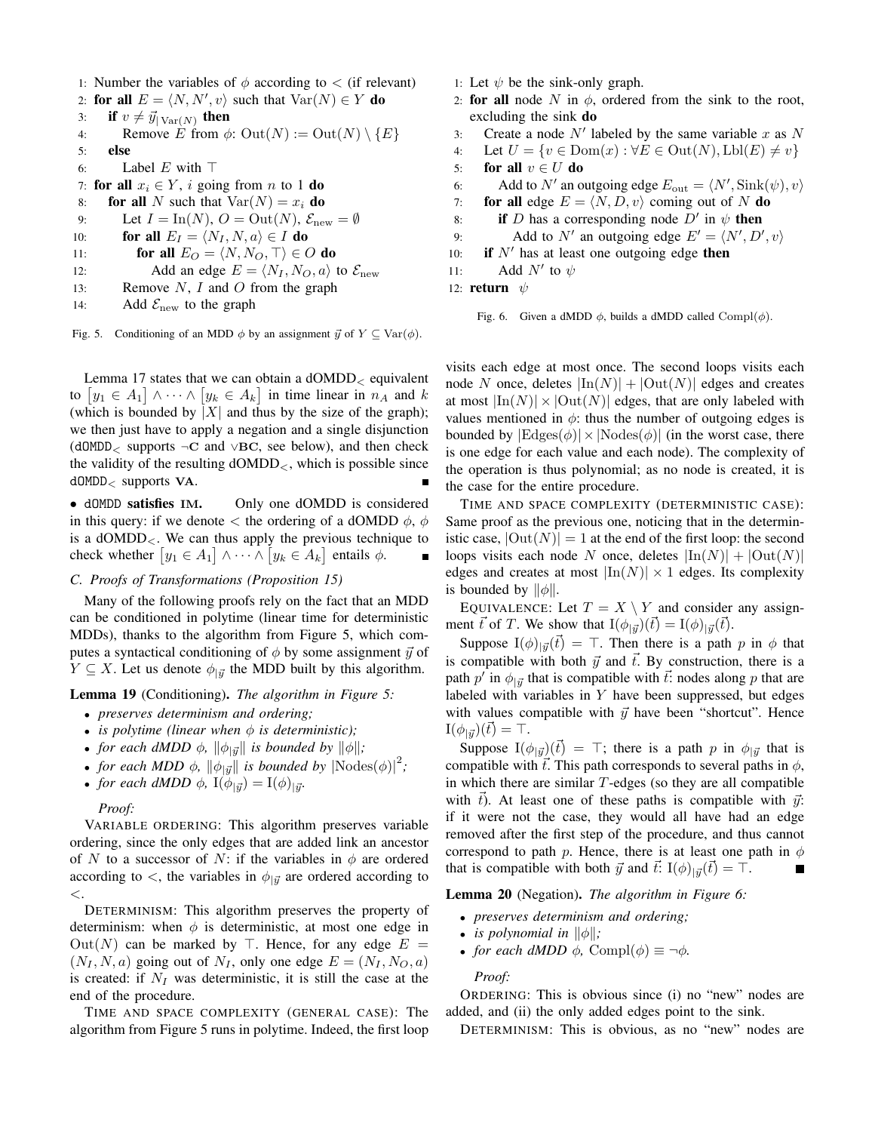1: Number the variables of  $\phi$  according to  $\lt$  (if relevant) 2: for all  $E = \langle N, N', v \rangle$  such that  $Var(N) \in Y$  do 3: if  $v \neq \vec{y}_{| \text{Var}(N)}$  then 4: Remove E from  $\phi$ :  $Out(N) := Out(N) \setminus \{E\}$ <br>5: **else** else 6: Label E with  $\top$ 7: **for all**  $x_i \in Y$ , *i* going from *n* to 1 **do**<br>8: **for all** *N* such that  $Var(N) = x_i$  **do** for all N such that  $Var(N) = x_i$  do 9: Let  $I = \text{In}(N)$ ,  $O = \text{Out}(N)$ ,  $\mathcal{E}_{\text{new}} = \emptyset$ <br>10: **for all**  $E_I = \langle N_I, N, a \rangle \in I$  **do** for all  $E_I = \langle N_I, N, a \rangle \in I$  do 11: **for all**  $E_O = \langle N, N_O, \top \rangle \in O$  **do** 12: Add an edge  $E = \langle N_I, N_O, a \rangle$  to  $\mathcal{E}_{\text{new}}$ 13: Remove  $N$ , I and O from the graph 14: Add  $\mathcal{E}_{\text{new}}$  to the graph

Fig. 5. Conditioning of an MDD  $\phi$  by an assignment  $\vec{y}$  of  $Y \subseteq \text{Var}(\phi)$ .

Lemma 17 states that we can obtain a  $dOMDD<sub>></sub>$  equivalent to  $[y_1 \in A_1] \wedge \cdots \wedge [y_k \in A_k]$  in time linear in  $n_A$  and k (which is bounded by  $|X|$  and thus by the size of the graph); we then just have to apply a negation and a single disjunction (dOMDD<sup>&</sup>lt; supports ¬C and ∨BC, see below), and then check the validity of the resulting  $dOMDD<sub>lt</sub>$ , which is possible since  $dOMDD<sub>></sub>$  supports VA.

• dOMDD satisfies IM. Only one dOMDD is considered in this query: if we denote  $\lt$  the ordering of a dOMDD  $\phi$ ,  $\phi$ is a  $dOMDD<sub>lt</sub>$ . We can thus apply the previous technique to check whether  $[y_1 \in A_1] \wedge \cdots \wedge [y_k \in A_k]$  entails  $\phi$ .

## *C. Proofs of Transformations (Proposition 15)*

Many of the following proofs rely on the fact that an MDD can be conditioned in polytime (linear time for deterministic MDDs), thanks to the algorithm from Figure 5, which computes a syntactical conditioning of  $\phi$  by some assignment  $\vec{y}$  of  $Y \subseteq X$ . Let us denote  $\phi_{|\vec{y}|}$  the MDD built by this algorithm.

Lemma 19 (Conditioning). *The algorithm in Figure 5:*

- *preserves determinism and ordering;*
- *is polytime (linear when*  $\phi$  *is deterministic);*
- *for each dMDD*  $\phi$ ,  $\|\phi_{\vec{u}}\|$  *is bounded by*  $\|\phi\|$ *;*
- *for each MDD*  $\phi$ ,  $\|\phi_{|\vec{y}}\|$  *is bounded by*  $|\text{Nodes}(\phi)|^2$ ;
- *for each dMDD*  $\phi$ ,  $I(\phi_{|\vec{q}}) = I(\phi)_{|\vec{q}}$ .

## *Proof:*

VARIABLE ORDERING: This algorithm preserves variable ordering, since the only edges that are added link an ancestor of N to a successor of N: if the variables in  $\phi$  are ordered according to  $\lt$ , the variables in  $\phi_{|\vec{v}|}$  are ordered according to  $\lt$ .

DETERMINISM: This algorithm preserves the property of determinism: when  $\phi$  is deterministic, at most one edge in Out(N) can be marked by  $\top$ . Hence, for any edge  $E =$  $(N_I, N, a)$  going out of  $N_I$ , only one edge  $E = (N_I, N_O, a)$ is created: if  $N_I$  was deterministic, it is still the case at the end of the procedure.

TIME AND SPACE COMPLEXITY (GENERAL CASE): The algorithm from Figure 5 runs in polytime. Indeed, the first loop

- 1: Let  $\psi$  be the sink-only graph.
- 2: for all node N in  $\phi$ , ordered from the sink to the root, excluding the sink do
- 3: Create a node  $N'$  labeled by the same variable x as N
- 4: Let  $U = \{v \in \text{Dom}(x) : \forall E \in \text{Out}(N), \text{Lbl}(E) \neq v\}$ <br>5: **for all**  $v \in U$  **do**
- 5: **for all**  $v \in U$  **do**<br>6: **Add to**  $N'$  **and**
- 6: Add to N' an outgoing edge  $E_{\text{out}} = \langle N', \text{Sink}(\psi), v \rangle$
- 7: **for all** edge  $E = \langle N, D, v \rangle$  coming out of N **do**<br>8: **if** D has a corresponding node D' in  $\psi$  **then**
- 8: if D has a corresponding node D' in  $\psi$  then
- 9: Add to N' an outgoing edge  $E' = \langle N', D', v \rangle$
- 10: if  $N'$  has at least one outgoing edge then
- 11: Add N' to  $\psi$
- 12: **return**  $\psi$

```
Fig. 6. Given a dMDD \phi, builds a dMDD called Compl(\phi).
```
visits each edge at most once. The second loops visits each node N once, deletes  $|\text{In}(N)| + |\text{Out}(N)|$  edges and creates at most  $|\text{In}(N)| \times |\text{Out}(N)|$  edges, that are only labeled with values mentioned in  $\phi$ : thus the number of outgoing edges is bounded by  $|Edges(\phi)| \times |Nodes(\phi)|$  (in the worst case, there is one edge for each value and each node). The complexity of the operation is thus polynomial; as no node is created, it is the case for the entire procedure.

TIME AND SPACE COMPLEXITY (DETERMINISTIC CASE): Same proof as the previous one, noticing that in the deterministic case,  $|\text{Out}(N)| = 1$  at the end of the first loop: the second loops visits each node N once, deletes  $|\text{In}(N)| + |\text{Out}(N)|$ edges and creates at most  $|\text{In}(N)| \times 1$  edges. Its complexity is bounded by  $\|\phi\|$ .

EQUIVALENCE: Let  $T = X \setminus Y$  and consider any assignment  $\vec{t}$  of T. We show that  $I(\phi_{|\vec{y}})(\vec{t}) = I(\phi)_{|\vec{y}}(t)$ .

Suppose  $I(\phi)_{|\vec{v}}(\vec{t}) = \top$ . Then there is a path p in  $\phi$  that is compatible with both  $\vec{y}$  and  $\vec{t}$ . By construction, there is a path  $p'$  in  $\phi_{|\vec{y}|}$  that is compatible with  $\vec{t}$ : nodes along p that are labeled with variables in  $Y$  have been suppressed, but edges with values compatible with  $\vec{y}$  have been "shortcut". Hence  $I(\phi_{|\vec{y}})(\vec{t}) = \top.$ 

Suppose  $I(\phi_{|\vec{q}|})(\vec{t}) = \top$ ; there is a path p in  $\phi_{|\vec{q}|}$  that is compatible with  $\vec{t}$ . This path corresponds to several paths in  $\phi$ , in which there are similar  $T$ -edges (so they are all compatible with  $\vec{t}$ ). At least one of these paths is compatible with  $\vec{y}$ : if it were not the case, they would all have had an edge removed after the first step of the procedure, and thus cannot correspond to path p. Hence, there is at least one path in  $\phi$ that is compatible with both  $\vec{y}$  and  $\vec{t}$ : I $(\phi)_{|\vec{y}}(\vec{t}) = \top$ .

Lemma 20 (Negation). *The algorithm in Figure 6:*

- *preserves determinism and ordering;*
- *is polynomial in*  $\|\phi\|$ ;
- *for each dMDD*  $\phi$ , Compl $(\phi) \equiv \neg \phi$ .

*Proof:*

ORDERING: This is obvious since (i) no "new" nodes are added, and (ii) the only added edges point to the sink.

DETERMINISM: This is obvious, as no "new" nodes are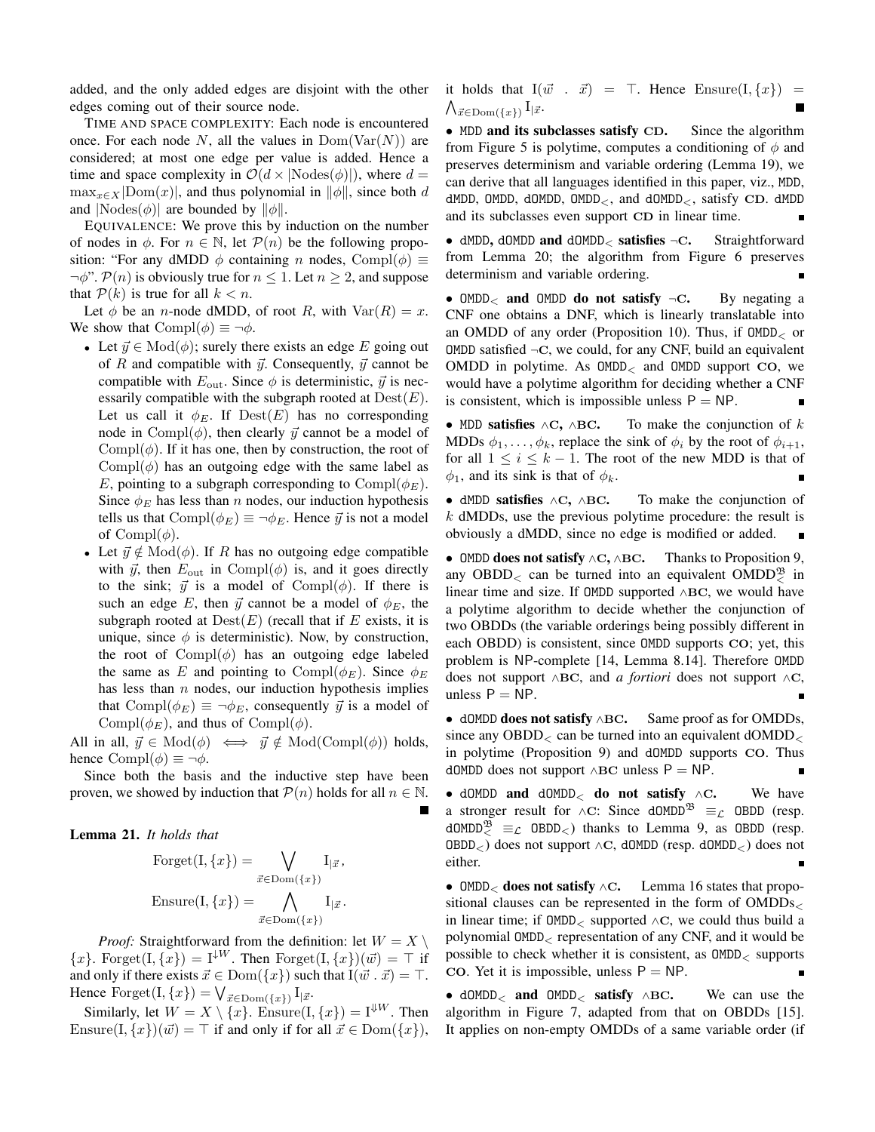added, and the only added edges are disjoint with the other edges coming out of their source node.

TIME AND SPACE COMPLEXITY: Each node is encountered once. For each node N, all the values in  $Dom(Var(N))$  are considered; at most one edge per value is added. Hence a time and space complexity in  $\mathcal{O}(d \times |\text{Nodes}(\phi)|)$ , where  $d =$  $\max_{x \in X}$ [Dom(x)], and thus polynomial in  $\|\phi\|$ , since both d and  $\text{Nodes}(\phi)$  are bounded by  $\|\phi\|$ .

EQUIVALENCE: We prove this by induction on the number of nodes in  $\phi$ . For  $n \in \mathbb{N}$ , let  $\mathcal{P}(n)$  be the following proposition: "For any dMDD  $\phi$  containing n nodes, Compl( $\phi$ )  $\equiv$  $\neg \phi$ ".  $\mathcal{P}(n)$  is obviously true for  $n \leq 1$ . Let  $n \geq 2$ , and suppose that  $P(k)$  is true for all  $k < n$ .

Let  $\phi$  be an *n*-node dMDD, of root R, with  $\text{Var}(R) = x$ . We show that  $\text{Compl}(\phi) \equiv \neg \phi$ .

- Let  $\vec{y} \in Mod(\phi)$ ; surely there exists an edge E going out of R and compatible with  $\vec{y}$ . Consequently,  $\vec{y}$  cannot be compatible with  $E_{\text{out}}$ . Since  $\phi$  is deterministic,  $\vec{y}$  is necessarily compatible with the subgraph rooted at  $\text{Dest}(E)$ . Let us call it  $\phi_E$ . If  $\text{Dest}(E)$  has no corresponding node in Compl $(\phi)$ , then clearly  $\vec{y}$  cannot be a model of  $Compl(\phi)$ . If it has one, then by construction, the root of  $Compl(\phi)$  has an outgoing edge with the same label as E, pointing to a subgraph corresponding to  $\text{Compl}(\phi_E)$ . Since  $\phi_E$  has less than n nodes, our induction hypothesis tells us that Compl $(\phi_E) \equiv \neg \phi_E$ . Hence  $\vec{y}$  is not a model of  $Compl(\phi)$ .
- Let  $\vec{y} \notin Mod(\phi)$ . If R has no outgoing edge compatible with  $\vec{y}$ , then  $E_{\text{out}}$  in Compl( $\phi$ ) is, and it goes directly to the sink;  $\vec{y}$  is a model of Compl( $\phi$ ). If there is such an edge E, then  $\vec{y}$  cannot be a model of  $\phi_E$ , the subgraph rooted at  $\mathrm{Dest}(E)$  (recall that if E exists, it is unique, since  $\phi$  is deterministic). Now, by construction, the root of  $Compl(\phi)$  has an outgoing edge labeled the same as E and pointing to  $Compl(\phi_E)$ . Since  $\phi_E$ has less than  $n$  nodes, our induction hypothesis implies that Compl $(\phi_E) \equiv \neg \phi_E$ , consequently  $\vec{y}$  is a model of Compl $(\phi_E)$ , and thus of Compl $(\phi)$ .

All in all,  $\vec{y} \in \text{Mod}(\phi) \iff \vec{y} \notin \text{Mod}(\text{Compl}(\phi))$  holds, hence  $Compl(\phi) \equiv \neg \phi$ .

Since both the basis and the inductive step have been proven, we showed by induction that  $P(n)$  holds for all  $n \in \mathbb{N}$ .

Lemma 21. *It holds that*

Forget(I, {x}) = 
$$
\bigvee_{\vec{x} \in \text{Dom}(\{x\})} I_{|\vec{x}},
$$
  
Ensure(I, {x}) = 
$$
\bigwedge_{\vec{x} \in \text{Dom}(\{x\})} I_{|\vec{x}}.
$$

*Proof:* Straightforward from the definition: let  $W = X \setminus Y$  ${x}$ . Forget $(I, \{x\}) = I^{\downarrow W}$ . Then Forget $(I, \{x\})(\vec{w}) = \top$  if and only if there exists  $\vec{x} \in \text{Dom}(\{x\})$  such that  $I(\vec{w} \cdot \vec{x}) = \top$ . Hence  $\text{Forget}(I, \{x\}) = \bigvee_{\vec{x} \in \text{Dom}(\{x\})} I_{|\vec{x}}$ .

Similarly, let  $W = X \setminus \{x\}$ . Ensure $(I, \{x\}) = I^{\Downarrow W}$ . Then Ensure(I,  $\{x\}$ )( $\vec{w}$ ) =  $\top$  if and only if for all  $\vec{x} \in \text{Dom}(\{x\})$ , it holds that  $I(\vec{w} \cdot \vec{x}) = \top$ . Hence Ensure $(I, \{x\}) =$  $\bigwedge_{\vec{x} \in \text{Dom}(\{x\})} I_{|\vec{x}}.$ 

• MDD and its subclasses satisfy CD. Since the algorithm from Figure 5 is polytime, computes a conditioning of  $\phi$  and preserves determinism and variable ordering (Lemma 19), we can derive that all languages identified in this paper, viz., MDD, dMDD, OMDD, dOMDD, OMDD<sub><</sub>, and dOMDD<sub><</sub>, satisfy CD. dMDD and its subclasses even support CD in linear time.

• dMDD, dOMDD and dOMDD  $\lt$  satisfies  $\neg$ C. Straightforward from Lemma 20; the algorithm from Figure 6 preserves determinism and variable ordering.

•  $OMDD<sub>></sub>$  and  $OMDD$  do not satisfy  $\neg C$ . By negating a CNF one obtains a DNF, which is linearly translatable into an OMDD of any order (Proposition 10). Thus, if  $OMDD<sub>></sub>$  or OMDD satisfied  $\neg$ C, we could, for any CNF, build an equivalent OMDD in polytime. As  $OMDD<sub>></sub>$  and  $OMDD$  support CO, we would have a polytime algorithm for deciding whether a CNF is consistent, which is impossible unless  $P = NP$ .

• MDD satisfies  $\wedge$ C,  $\wedge$ BC. To make the conjunction of k MDDs  $\phi_1, \ldots, \phi_k$ , replace the sink of  $\phi_i$  by the root of  $\phi_{i+1}$ , for all  $1 \leq i \leq k - 1$ . The root of the new MDD is that of  $\phi_1$ , and its sink is that of  $\phi_k$ .

• dMDD satisfies  $\wedge$ C,  $\wedge$ BC. To make the conjunction of  $k$  dMDDs, use the previous polytime procedure: the result is obviously a dMDD, since no edge is modified or added.

• OMDD does not satisfy  $\wedge$ C,  $\wedge$ BC. Thanks to Proposition 9, any OBDD<sub><</sub> can be turned into an equivalent OMDD $_2^{\circledR}$  in linear time and size. If OMDD supported ∧BC, we would have a polytime algorithm to decide whether the conjunction of two OBDDs (the variable orderings being possibly different in each OBDD) is consistent, since OMDD supports CO; yet, this problem is NP-complete [14, Lemma 8.14]. Therefore OMDD does not support ∧BC, and *a fortiori* does not support ∧C, unless  $P = NP$ .

• dOMDD does not satisfy  $\wedge$ BC. Same proof as for OMDDs, since any  $OBDD<sub>z</sub>$  can be turned into an equivalent  $dOMDD<sub>z</sub>$ in polytime (Proposition 9) and dOMDD supports CO. Thus dOMDD does not support  $\land$ BC unless P = NP.

• dOMDD and dOMDD of out satisfy  $\wedge$ C. We have a stronger result for ∧C: Since dOMDD<sup>93</sup>  $\equiv_{\mathcal{L}}$  OBDD (resp. dOMDD<sup>93</sup>  $\equiv$   $\mathcal{L}$  OBDD<sub><</sub>) thanks to Lemma 9, as OBDD (resp. OBDD<) does not support ∧C, dOMDD (resp. dOMDD<) does not either.

• OMDD<sub><</sub> does not satisfy  $\wedge$ C. Lemma 16 states that propositional clauses can be represented in the form of  $OMDDs$ in linear time; if  $OMDD<sub>≤</sub>$  supported  $\wedge$ C, we could thus build a polynomial  $OMDD<sub>z</sub>$  representation of any CNF, and it would be possible to check whether it is consistent, as  $OMDD<sub>></sub>$  supports CO. Yet it is impossible, unless  $P = NP$ .

• dOMDD<sub><</sub> and OMDD<sub><</sub> satisfy  $\wedge$ BC. We can use the algorithm in Figure 7, adapted from that on OBDDs [15]. It applies on non-empty OMDDs of a same variable order (if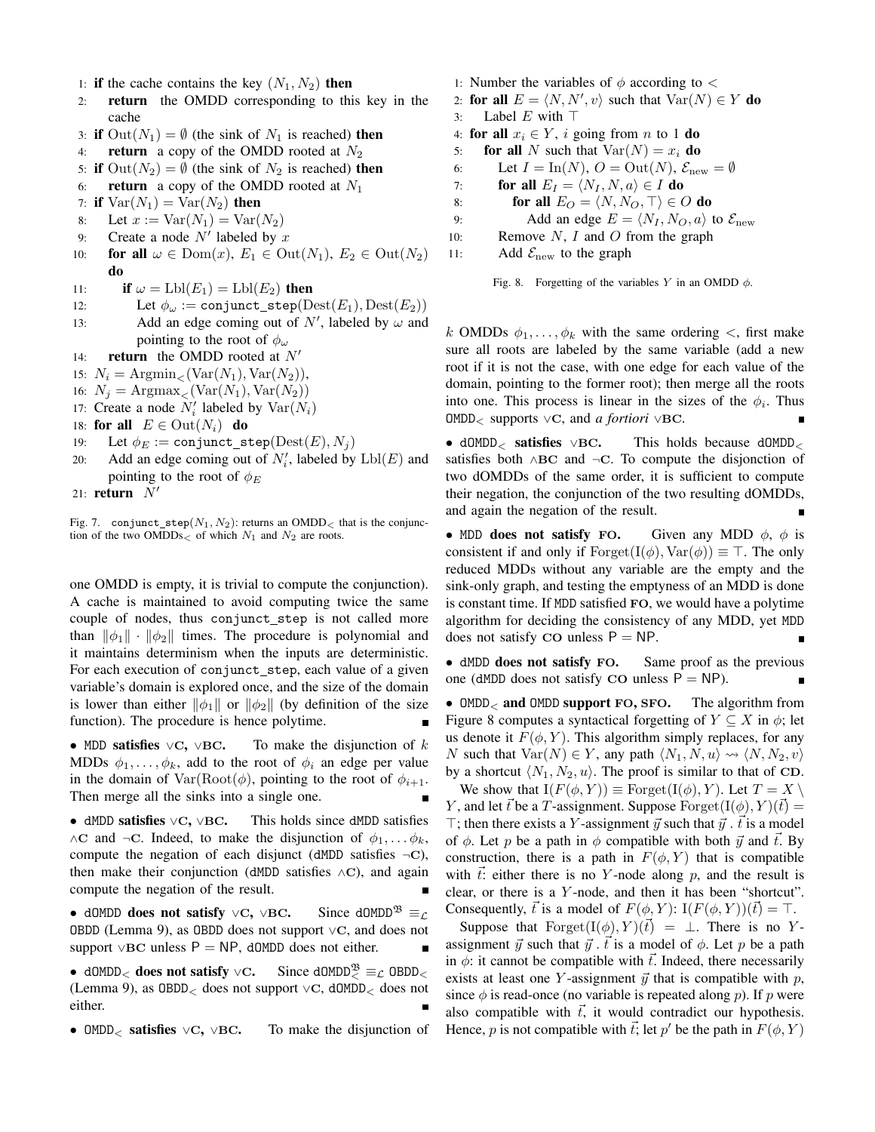- 1: if the cache contains the key  $(N_1, N_2)$  then
- 2: return the OMDD corresponding to this key in the cache
- 3: if  $Out(N_1) = \emptyset$  (the sink of  $N_1$  is reached) then
- 4: **return** a copy of the OMDD rooted at  $N_2$
- 5: if  $Out(N_2) = \emptyset$  (the sink of  $N_2$  is reached) then<br>6: **return** a copy of the OMDD rooted at  $N_1$
- **return** a copy of the OMDD rooted at  $N_1$
- 7: if  $Var(N_1) = Var(N_2)$  then
- 8: Let  $x := \text{Var}(N_1) = \text{Var}(N_2)$
- 9: Create a node  $N'$  labeled by x
- 10: **for all**  $\omega \in \text{Dom}(x)$ ,  $E_1 \in \text{Out}(N_1)$ ,  $E_2 \in \text{Out}(N_2)$ do
- 11: **if**  $\omega = \text{Lbl}(E_1) = \text{Lbl}(E_2)$  then
- 12: Let  $\phi_\omega := \text{conjunct\_step}(\text{Dest}(E_1), \text{Dest}(E_2))$
- 13: Add an edge coming out of  $N'$ , labeled by  $\omega$  and pointing to the root of  $\phi_{\omega}$
- 14: **return** the OMDD rooted at  $N'$
- 15:  $N_i = \text{Argmin}_<(Var(N_1), Var(N_2)),$
- 16:  $N_j = \text{Argmax}_{\leq}(Var(N_1), Var(N_2))$
- 17: Create a node  $N_i'$  labeled by  $Var(N_i)$
- 18: for all  $E \in Out(N_i)$  do<br>19: Let  $\phi_E := \text{conjunct_s}$
- Let  $\phi_E := \text{conjunct\_step}(\text{Dest}(E), N_i)$
- 20: Add an edge coming out of  $N'_i$ , labeled by  $Lbl(E)$  and pointing to the root of  $\phi_E$
- 21:  $return N'$

Fig. 7. conjunct\_step( $N_1, N_2$ ): returns an OMDD<sub><</sub> that is the conjunction of the two OMDDs is of which  $N_1$  and  $N_2$  are roots.

one OMDD is empty, it is trivial to compute the conjunction). A cache is maintained to avoid computing twice the same couple of nodes, thus conjunct\_step is not called more than  $\|\phi_1\| \cdot \|\phi_2\|$  times. The procedure is polynomial and it maintains determinism when the inputs are deterministic. For each execution of conjunct step, each value of a given variable's domain is explored once, and the size of the domain is lower than either  $\|\phi_1\|$  or  $\|\phi_2\|$  (by definition of the size function). The procedure is hence polytime.

• MDD satisfies  $\vee$ C,  $\vee$ BC. To make the disjunction of k MDDs  $\phi_1, \ldots, \phi_k$ , add to the root of  $\phi_i$  an edge per value in the domain of  $\text{Var}(\text{Root}(\phi))$ , pointing to the root of  $\phi_{i+1}$ . Then merge all the sinks into a single one.

• dMDD satisfies  $\vee$ C,  $\vee$ BC. This holds since dMDD satisfies  $\wedge$ C and  $\neg$ C. Indeed, to make the disjunction of  $\phi_1, \dots, \phi_k$ , compute the negation of each disjunct (dMDD satisfies  $\neg$ C), then make their conjunction (dMDD satisfies ∧C), and again compute the negation of the result.

• dOMDD does not satisfy  $\vee$ C,  $\vee$ BC. Since dOMDD<sup>93</sup>  $\equiv$ OBDD (Lemma 9), as OBDD does not support ∨C, and does not support ∨BC unless  $P = NP$ , dOMDD does not either.

• dOMDD<sub><</sub> does not satisfy  $\vee$ C. Since  $\text{dOMDD}^{\mathfrak{B}}_{\geq \epsilon} \equiv_{\mathcal{L}} \text{OBDD}_{\leq \epsilon}$ (Lemma 9), as OBDD<sup>&</sup>lt; does not support ∨C, dOMDD<sup>&</sup>lt; does not either.

• OMDD<sub><</sub> satisfies  $\vee$ C,  $\vee$ BC. To make the disjunction of

- 1: Number the variables of  $\phi$  according to  $\lt$
- 2: for all  $E = \langle N, N', v \rangle$  such that  $Var(N) \in Y$  do
- 3: Label E with  $\top$
- 4: **for all**  $x_i \in Y$ , *i* going from *n* to 1 **do**<br>5: **for all** *N* such that  $Var(N) = x_i$  **do**
- for all N such that  $Var(N) = x_i$  do
- 6: Let  $I = \text{In}(N)$ ,  $O = \text{Out}(N)$ ,  $\mathcal{E}_{\text{new}} = \emptyset$ <br>7: **for all**  $E_I = \langle N_I, N, a \rangle \in I$  **do**
- 7: for all  $E_I = \langle N_I, N, a \rangle \in I$  do<br>8: for all  $E_O = \langle N, N_O, \top \rangle \in O$
- 8: **for all**  $E_O = \langle N, N_O, \top \rangle \in O$  **do**<br>9: Add an edge  $E = \langle N_I, N_O, a \rangle$
- 9: Add an edge  $E = \langle N_I, N_O, a \rangle$  to  $\mathcal{E}_{\text{new}}$ <br>10: Remove N, I and O from the graph
- Remove  $N$ , I and O from the graph
- 11: Add  $\mathcal{E}_{\text{new}}$  to the graph



k OMDDs  $\phi_1, \ldots, \phi_k$  with the same ordering  $\lt$ , first make sure all roots are labeled by the same variable (add a new root if it is not the case, with one edge for each value of the domain, pointing to the former root); then merge all the roots into one. This process is linear in the sizes of the  $\phi_i$ . Thus OMDD<sup>&</sup>lt; supports ∨C, and *a fortiori* ∨BC.

• dOMDD<sub><</sub> satisfies ∨BC. This holds because dOMDD satisfies both ∧BC and ¬C. To compute the disjonction of two dOMDDs of the same order, it is sufficient to compute their negation, the conjunction of the two resulting dOMDDs, and again the negation of the result.

• MDD does not satisfy FO. Given any MDD  $\phi$ ,  $\phi$  is consistent if and only if  $Forget(I(\phi), Var(\phi)) \equiv \top$ . The only reduced MDDs without any variable are the empty and the sink-only graph, and testing the emptyness of an MDD is done is constant time. If MDD satisfied FO, we would have a polytime algorithm for deciding the consistency of any MDD, yet MDD does not satisfy CO unless  $P = NP$ .

• dMDD does not satisfy FO. Same proof as the previous one (dMDD does not satisfy CO unless  $P = NP$ ).

• OMDD<sub><</sub> and OMDD support FO, SFO. The algorithm from Figure 8 computes a syntactical forgetting of  $Y \subseteq X$  in  $\phi$ ; let us denote it  $F(\phi, Y)$ . This algorithm simply replaces, for any N such that  $Var(N) \in Y$ , any path  $\langle N_1, N, u \rangle \rightsquigarrow \langle N, N_2, v \rangle$ by a shortcut  $\langle N_1, N_2, u \rangle$ . The proof is similar to that of CD.

We show that  $I(F(\phi, Y)) \equiv \text{Forget}(I(\phi), Y)$ . Let  $T = X \setminus$ Y, and let  $\vec{t}$  be a T-assignment. Suppose Forget $(I(\phi), Y)(\vec{t}) =$  $\top$ ; then there exists a Y-assignment  $\vec{y}$  such that  $\vec{y}$ .  $\vec{t}$  is a model of  $\phi$ . Let p be a path in  $\phi$  compatible with both  $\vec{y}$  and  $\vec{t}$ . By construction, there is a path in  $F(\phi, Y)$  that is compatible with  $\vec{t}$ : either there is no Y-node along p, and the result is clear, or there is a Y -node, and then it has been "shortcut". Consequently,  $\vec{t}$  is a model of  $F(\phi, Y)$ : I $(F(\phi, Y))(\vec{t}) = \top$ .

Suppose that  $Forget(I(\phi), Y)(\vec{t}) = \perp$ . There is no Yassignment  $\vec{y}$  such that  $\vec{y} \cdot \vec{t}$  is a model of  $\phi$ . Let p be a path in  $\phi$ : it cannot be compatible with t. Indeed, there necessarily exists at least one Y-assignment  $\vec{y}$  that is compatible with p, since  $\phi$  is read-once (no variable is repeated along p). If p were also compatible with  $\vec{t}$ , it would contradict our hypothesis. Hence, p is not compatible with  $\vec{t}$ ; let p' be the path in  $F(\phi, Y)$